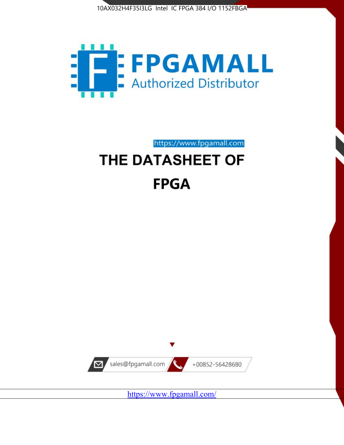



https://www.fpgamall.com THE DATASHEET OF

# **FPGA**



<https://www.fpgamall.com/>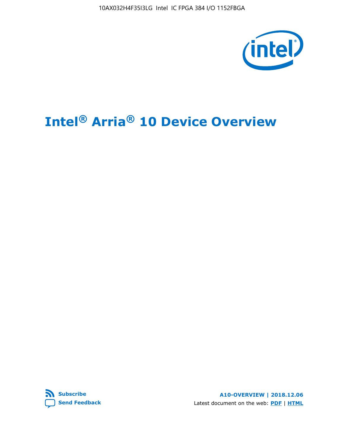

# **Intel® Arria® 10 Device Overview**



**A10-OVERVIEW | 2018.12.06** Latest document on the web: **[PDF](https://www.intel.com/content/dam/www/programmable/us/en/pdfs/literature/hb/arria-10/a10_overview.pdf)** | **[HTML](https://www.intel.com/content/www/us/en/programmable/documentation/sam1403480274650.html)**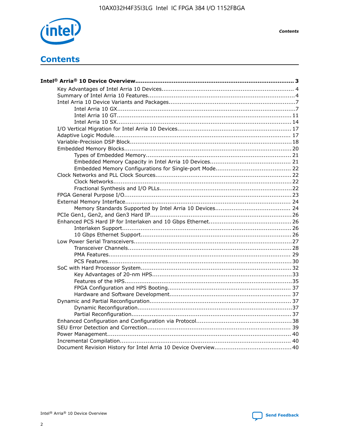

**Contents** 

# **Contents**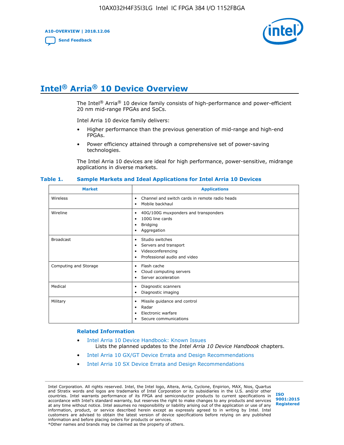**A10-OVERVIEW | 2018.12.06**

**[Send Feedback](mailto:FPGAtechdocfeedback@intel.com?subject=Feedback%20on%20Intel%20Arria%2010%20Device%20Overview%20(A10-OVERVIEW%202018.12.06)&body=We%20appreciate%20your%20feedback.%20In%20your%20comments,%20also%20specify%20the%20page%20number%20or%20paragraph.%20Thank%20you.)**



# **Intel® Arria® 10 Device Overview**

The Intel<sup>®</sup> Arria<sup>®</sup> 10 device family consists of high-performance and power-efficient 20 nm mid-range FPGAs and SoCs.

Intel Arria 10 device family delivers:

- Higher performance than the previous generation of mid-range and high-end FPGAs.
- Power efficiency attained through a comprehensive set of power-saving technologies.

The Intel Arria 10 devices are ideal for high performance, power-sensitive, midrange applications in diverse markets.

| <b>Market</b>         | <b>Applications</b>                                                                                               |
|-----------------------|-------------------------------------------------------------------------------------------------------------------|
| Wireless              | Channel and switch cards in remote radio heads<br>٠<br>Mobile backhaul<br>$\bullet$                               |
| Wireline              | 40G/100G muxponders and transponders<br>٠<br>100G line cards<br>٠<br>Bridging<br>٠<br>Aggregation<br>٠            |
| <b>Broadcast</b>      | Studio switches<br>٠<br>Servers and transport<br>٠<br>Videoconferencing<br>٠<br>Professional audio and video<br>٠ |
| Computing and Storage | Flash cache<br>٠<br>Cloud computing servers<br>٠<br>Server acceleration<br>٠                                      |
| Medical               | Diagnostic scanners<br>٠<br>Diagnostic imaging<br>٠                                                               |
| Military              | Missile guidance and control<br>$\bullet$<br>Radar<br>٠<br>Electronic warfare<br>٠<br>Secure communications<br>٠  |

#### **Table 1. Sample Markets and Ideal Applications for Intel Arria 10 Devices**

#### **Related Information**

- [Intel Arria 10 Device Handbook: Known Issues](http://www.altera.com/support/kdb/solutions/rd07302013_646.html) Lists the planned updates to the *Intel Arria 10 Device Handbook* chapters.
- [Intel Arria 10 GX/GT Device Errata and Design Recommendations](https://www.intel.com/content/www/us/en/programmable/documentation/agz1493851706374.html#yqz1494433888646)
- [Intel Arria 10 SX Device Errata and Design Recommendations](https://www.intel.com/content/www/us/en/programmable/documentation/cru1462832385668.html#cru1462832558642)

Intel Corporation. All rights reserved. Intel, the Intel logo, Altera, Arria, Cyclone, Enpirion, MAX, Nios, Quartus and Stratix words and logos are trademarks of Intel Corporation or its subsidiaries in the U.S. and/or other countries. Intel warrants performance of its FPGA and semiconductor products to current specifications in accordance with Intel's standard warranty, but reserves the right to make changes to any products and services at any time without notice. Intel assumes no responsibility or liability arising out of the application or use of any information, product, or service described herein except as expressly agreed to in writing by Intel. Intel customers are advised to obtain the latest version of device specifications before relying on any published information and before placing orders for products or services. \*Other names and brands may be claimed as the property of others.

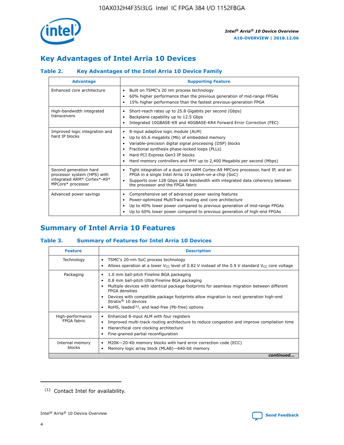

# **Key Advantages of Intel Arria 10 Devices**

#### **Table 2. Key Advantages of the Intel Arria 10 Device Family**

| <b>Advantage</b>                                                                                          | <b>Supporting Feature</b>                                                                                                                                                                                                                                                                                                     |
|-----------------------------------------------------------------------------------------------------------|-------------------------------------------------------------------------------------------------------------------------------------------------------------------------------------------------------------------------------------------------------------------------------------------------------------------------------|
| Enhanced core architecture                                                                                | Built on TSMC's 20 nm process technology<br>٠<br>60% higher performance than the previous generation of mid-range FPGAs<br>٠<br>15% higher performance than the fastest previous-generation FPGA<br>٠                                                                                                                         |
| High-bandwidth integrated<br>transceivers                                                                 | Short-reach rates up to 25.8 Gigabits per second (Gbps)<br>٠<br>Backplane capability up to 12.5 Gbps<br>٠<br>Integrated 10GBASE-KR and 40GBASE-KR4 Forward Error Correction (FEC)<br>٠                                                                                                                                        |
| Improved logic integration and<br>hard IP blocks                                                          | 8-input adaptive logic module (ALM)<br>٠<br>Up to 65.6 megabits (Mb) of embedded memory<br>٠<br>Variable-precision digital signal processing (DSP) blocks<br>Fractional synthesis phase-locked loops (PLLs)<br>٠<br>Hard PCI Express Gen3 IP blocks<br>Hard memory controllers and PHY up to 2,400 Megabits per second (Mbps) |
| Second generation hard<br>processor system (HPS) with<br>integrated ARM* Cortex*-A9*<br>MPCore* processor | Tight integration of a dual-core ARM Cortex-A9 MPCore processor, hard IP, and an<br>٠<br>FPGA in a single Intel Arria 10 system-on-a-chip (SoC)<br>Supports over 128 Gbps peak bandwidth with integrated data coherency between<br>$\bullet$<br>the processor and the FPGA fabric                                             |
| Advanced power savings                                                                                    | Comprehensive set of advanced power saving features<br>٠<br>Power-optimized MultiTrack routing and core architecture<br>٠<br>Up to 40% lower power compared to previous generation of mid-range FPGAs<br>٠<br>Up to 60% lower power compared to previous generation of high-end FPGAs<br>٠                                    |

# **Summary of Intel Arria 10 Features**

#### **Table 3. Summary of Features for Intel Arria 10 Devices**

| <b>Feature</b>                  | <b>Description</b>                                                                                                                                                                                                                                                                                                                                                                                       |
|---------------------------------|----------------------------------------------------------------------------------------------------------------------------------------------------------------------------------------------------------------------------------------------------------------------------------------------------------------------------------------------------------------------------------------------------------|
| Technology                      | TSMC's 20-nm SoC process technology<br>٠<br>Allows operation at a lower $V_{\text{CC}}$ level of 0.82 V instead of the 0.9 V standard $V_{\text{CC}}$ core voltage                                                                                                                                                                                                                                       |
| Packaging                       | 1.0 mm ball-pitch Fineline BGA packaging<br>0.8 mm ball-pitch Ultra Fineline BGA packaging<br>Multiple devices with identical package footprints for seamless migration between different<br><b>FPGA</b> densities<br>Devices with compatible package footprints allow migration to next generation high-end<br>Stratix $\mathcal{R}$ 10 devices<br>RoHS, leaded $(1)$ , and lead-free (Pb-free) options |
| High-performance<br>FPGA fabric | Enhanced 8-input ALM with four registers<br>٠<br>Improved multi-track routing architecture to reduce congestion and improve compilation time<br>Hierarchical core clocking architecture<br>Fine-grained partial reconfiguration                                                                                                                                                                          |
| Internal memory<br>blocks       | M20K-20-Kb memory blocks with hard error correction code (ECC)<br>Memory logic array block (MLAB)-640-bit memory                                                                                                                                                                                                                                                                                         |
|                                 | continued                                                                                                                                                                                                                                                                                                                                                                                                |



<sup>(1)</sup> Contact Intel for availability.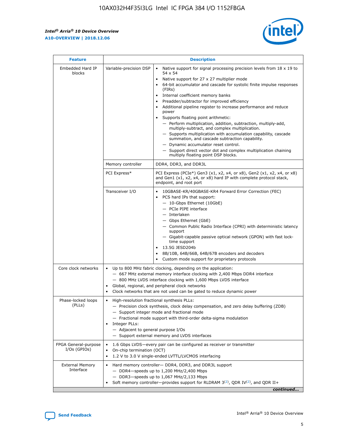r



| <b>Feature</b>                         |                                                                                                                | <b>Description</b>                                                                                                                                                                                                                                                                                                                                                                                                                                                                                                                                                                                                                                                                                                                                                                                                                     |  |  |  |  |  |  |
|----------------------------------------|----------------------------------------------------------------------------------------------------------------|----------------------------------------------------------------------------------------------------------------------------------------------------------------------------------------------------------------------------------------------------------------------------------------------------------------------------------------------------------------------------------------------------------------------------------------------------------------------------------------------------------------------------------------------------------------------------------------------------------------------------------------------------------------------------------------------------------------------------------------------------------------------------------------------------------------------------------------|--|--|--|--|--|--|
| Embedded Hard IP<br>blocks             | Variable-precision DSP                                                                                         | Native support for signal processing precision levels from $18 \times 19$ to<br>54 x 54<br>Native support for 27 x 27 multiplier mode<br>64-bit accumulator and cascade for systolic finite impulse responses<br>(FIRs)<br>Internal coefficient memory banks<br>$\bullet$<br>Preadder/subtractor for improved efficiency<br>Additional pipeline register to increase performance and reduce<br>power<br>Supports floating point arithmetic:<br>- Perform multiplication, addition, subtraction, multiply-add,<br>multiply-subtract, and complex multiplication.<br>- Supports multiplication with accumulation capability, cascade<br>summation, and cascade subtraction capability.<br>- Dynamic accumulator reset control.<br>- Support direct vector dot and complex multiplication chaining<br>multiply floating point DSP blocks. |  |  |  |  |  |  |
|                                        | Memory controller                                                                                              | DDR4, DDR3, and DDR3L                                                                                                                                                                                                                                                                                                                                                                                                                                                                                                                                                                                                                                                                                                                                                                                                                  |  |  |  |  |  |  |
|                                        | PCI Express*                                                                                                   | PCI Express (PCIe*) Gen3 (x1, x2, x4, or x8), Gen2 (x1, x2, x4, or x8)<br>and Gen1 (x1, x2, x4, or x8) hard IP with complete protocol stack,<br>endpoint, and root port                                                                                                                                                                                                                                                                                                                                                                                                                                                                                                                                                                                                                                                                |  |  |  |  |  |  |
|                                        | Transceiver I/O                                                                                                | 10GBASE-KR/40GBASE-KR4 Forward Error Correction (FEC)<br>PCS hard IPs that support:<br>$\bullet$<br>- 10-Gbps Ethernet (10GbE)<br>- PCIe PIPE interface<br>$-$ Interlaken<br>- Gbps Ethernet (GbE)<br>- Common Public Radio Interface (CPRI) with deterministic latency<br>support<br>- Gigabit-capable passive optical network (GPON) with fast lock-<br>time support<br>13.5G JESD204b<br>$\bullet$<br>8B/10B, 64B/66B, 64B/67B encoders and decoders<br>Custom mode support for proprietary protocols                                                                                                                                                                                                                                                                                                                               |  |  |  |  |  |  |
| Core clock networks                    | $\bullet$<br>$\bullet$                                                                                         | Up to 800 MHz fabric clocking, depending on the application:<br>- 667 MHz external memory interface clocking with 2,400 Mbps DDR4 interface<br>- 800 MHz LVDS interface clocking with 1,600 Mbps LVDS interface<br>Global, regional, and peripheral clock networks<br>Clock networks that are not used can be gated to reduce dynamic power                                                                                                                                                                                                                                                                                                                                                                                                                                                                                            |  |  |  |  |  |  |
| Phase-locked loops<br>(PLLs)           | High-resolution fractional synthesis PLLs:<br>$\bullet$<br>Integer PLLs:<br>- Adjacent to general purpose I/Os | - Precision clock synthesis, clock delay compensation, and zero delay buffering (ZDB)<br>- Support integer mode and fractional mode<br>- Fractional mode support with third-order delta-sigma modulation<br>- Support external memory and LVDS interfaces                                                                                                                                                                                                                                                                                                                                                                                                                                                                                                                                                                              |  |  |  |  |  |  |
| FPGA General-purpose<br>$I/Os$ (GPIOs) | On-chip termination (OCT)                                                                                      | 1.6 Gbps LVDS-every pair can be configured as receiver or transmitter<br>1.2 V to 3.0 V single-ended LVTTL/LVCMOS interfacing                                                                                                                                                                                                                                                                                                                                                                                                                                                                                                                                                                                                                                                                                                          |  |  |  |  |  |  |
| <b>External Memory</b><br>Interface    |                                                                                                                | Hard memory controller- DDR4, DDR3, and DDR3L support<br>$-$ DDR4-speeds up to 1,200 MHz/2,400 Mbps<br>- DDR3-speeds up to 1,067 MHz/2,133 Mbps<br>Soft memory controller—provides support for RLDRAM $3^{(2)}$ , QDR IV $^{(2)}$ , and QDR II+<br>continued                                                                                                                                                                                                                                                                                                                                                                                                                                                                                                                                                                           |  |  |  |  |  |  |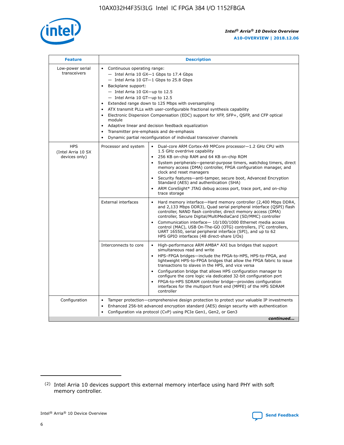

| <b>Feature</b>                                    | <b>Description</b>                                                                                                                                                                                                                                                                                                                                                                                                                                                                                                                                                                                                                                                 |
|---------------------------------------------------|--------------------------------------------------------------------------------------------------------------------------------------------------------------------------------------------------------------------------------------------------------------------------------------------------------------------------------------------------------------------------------------------------------------------------------------------------------------------------------------------------------------------------------------------------------------------------------------------------------------------------------------------------------------------|
| Low-power serial<br>transceivers                  | • Continuous operating range:<br>- Intel Arria 10 GX-1 Gbps to 17.4 Gbps<br>- Intel Arria 10 GT-1 Gbps to 25.8 Gbps<br>Backplane support:<br>$-$ Intel Arria 10 GX-up to 12.5<br>- Intel Arria 10 GT-up to 12.5<br>Extended range down to 125 Mbps with oversampling<br>ATX transmit PLLs with user-configurable fractional synthesis capability<br>$\bullet$<br>Electronic Dispersion Compensation (EDC) support for XFP, SFP+, OSFP, and CFP optical<br>module<br>Adaptive linear and decision feedback equalization<br>$\bullet$<br>Transmitter pre-emphasis and de-emphasis<br>$\bullet$<br>Dynamic partial reconfiguration of individual transceiver channels |
| <b>HPS</b><br>(Intel Arria 10 SX<br>devices only) | • Dual-core ARM Cortex-A9 MPCore processor-1.2 GHz CPU with<br>Processor and system<br>1.5 GHz overdrive capability<br>256 KB on-chip RAM and 64 KB on-chip ROM<br>$\bullet$<br>System peripherals—general-purpose timers, watchdog timers, direct<br>memory access (DMA) controller, FPGA configuration manager, and<br>clock and reset managers<br>Security features—anti-tamper, secure boot, Advanced Encryption<br>$\bullet$<br>Standard (AES) and authentication (SHA)<br>ARM CoreSight* JTAG debug access port, trace port, and on-chip<br>$\bullet$<br>trace storage                                                                                       |
|                                                   | <b>External interfaces</b><br>Hard memory interface-Hard memory controller (2,400 Mbps DDR4,<br>$\bullet$<br>and 2,133 Mbps DDR3), Quad serial peripheral interface (OSPI) flash<br>controller, NAND flash controller, direct memory access (DMA)<br>controller, Secure Digital/MultiMediaCard (SD/MMC) controller<br>Communication interface-10/100/1000 Ethernet media access<br>$\bullet$<br>control (MAC), USB On-The-GO (OTG) controllers, I <sup>2</sup> C controllers,<br>UART 16550, serial peripheral interface (SPI), and up to 62<br>HPS GPIO interfaces (48 direct-share I/Os)                                                                         |
|                                                   | Interconnects to core<br>High-performance ARM AMBA* AXI bus bridges that support<br>$\bullet$<br>simultaneous read and write<br>HPS-FPGA bridges-include the FPGA-to-HPS, HPS-to-FPGA, and<br>$\bullet$<br>lightweight HPS-to-FPGA bridges that allow the FPGA fabric to issue<br>transactions to slaves in the HPS, and vice versa<br>Configuration bridge that allows HPS configuration manager to<br>configure the core logic via dedicated 32-bit configuration port<br>FPGA-to-HPS SDRAM controller bridge-provides configuration<br>interfaces for the multiport front end (MPFE) of the HPS SDRAM<br>controller                                             |
| Configuration                                     | Tamper protection—comprehensive design protection to protect your valuable IP investments<br>Enhanced 256-bit advanced encryption standard (AES) design security with authentication<br>٠<br>Configuration via protocol (CvP) using PCIe Gen1, Gen2, or Gen3<br>continued                                                                                                                                                                                                                                                                                                                                                                                          |

<sup>(2)</sup> Intel Arria 10 devices support this external memory interface using hard PHY with soft memory controller.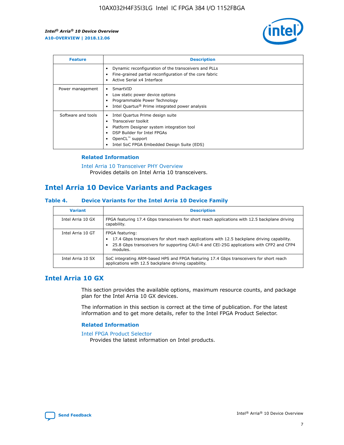

| <b>Feature</b>     | <b>Description</b>                                                                                                                                                                                               |
|--------------------|------------------------------------------------------------------------------------------------------------------------------------------------------------------------------------------------------------------|
|                    | Dynamic reconfiguration of the transceivers and PLLs<br>Fine-grained partial reconfiguration of the core fabric<br>Active Serial x4 Interface<br>$\bullet$                                                       |
| Power management   | SmartVID<br>Low static power device options<br>Programmable Power Technology<br>Intel Quartus <sup>®</sup> Prime integrated power analysis                                                                       |
| Software and tools | Intel Quartus Prime design suite<br>Transceiver toolkit<br>Platform Designer system integration tool<br>DSP Builder for Intel FPGAs<br>OpenCL <sup>™</sup> support<br>Intel SoC FPGA Embedded Design Suite (EDS) |

#### **Related Information**

[Intel Arria 10 Transceiver PHY Overview](https://www.intel.com/content/www/us/en/programmable/documentation/nik1398707230472.html#nik1398706768037) Provides details on Intel Arria 10 transceivers.

# **Intel Arria 10 Device Variants and Packages**

#### **Table 4. Device Variants for the Intel Arria 10 Device Family**

| <b>Variant</b>    | <b>Description</b>                                                                                                                                                                                                     |
|-------------------|------------------------------------------------------------------------------------------------------------------------------------------------------------------------------------------------------------------------|
| Intel Arria 10 GX | FPGA featuring 17.4 Gbps transceivers for short reach applications with 12.5 backplane driving<br>capability.                                                                                                          |
| Intel Arria 10 GT | FPGA featuring:<br>17.4 Gbps transceivers for short reach applications with 12.5 backplane driving capability.<br>25.8 Gbps transceivers for supporting CAUI-4 and CEI-25G applications with CFP2 and CFP4<br>modules. |
| Intel Arria 10 SX | SoC integrating ARM-based HPS and FPGA featuring 17.4 Gbps transceivers for short reach<br>applications with 12.5 backplane driving capability.                                                                        |

# **Intel Arria 10 GX**

This section provides the available options, maximum resource counts, and package plan for the Intel Arria 10 GX devices.

The information in this section is correct at the time of publication. For the latest information and to get more details, refer to the Intel FPGA Product Selector.

#### **Related Information**

#### [Intel FPGA Product Selector](http://www.altera.com/products/selector/psg-selector.html) Provides the latest information on Intel products.

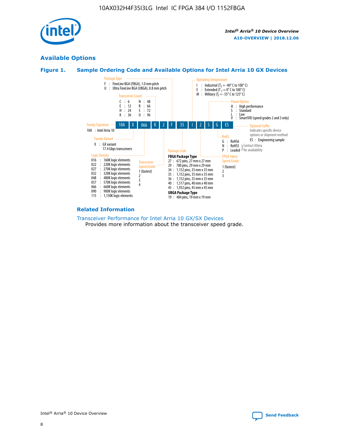

# **Available Options**





#### **Related Information**

[Transceiver Performance for Intel Arria 10 GX/SX Devices](https://www.intel.com/content/www/us/en/programmable/documentation/mcn1413182292568.html#mcn1413213965502) Provides more information about the transceiver speed grade.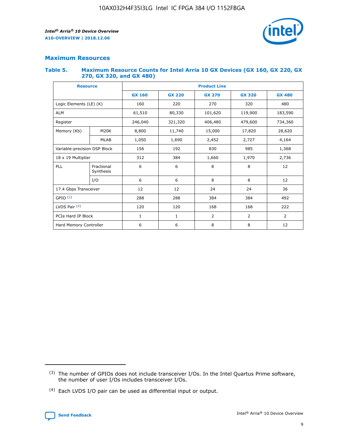

#### **Maximum Resources**

#### **Table 5. Maximum Resource Counts for Intel Arria 10 GX Devices (GX 160, GX 220, GX 270, GX 320, and GX 480)**

| <b>Resource</b>         |                                                          | <b>Product Line</b> |               |                    |                |                |  |  |  |
|-------------------------|----------------------------------------------------------|---------------------|---------------|--------------------|----------------|----------------|--|--|--|
|                         |                                                          | <b>GX 160</b>       | <b>GX 220</b> | <b>GX 270</b>      | <b>GX 320</b>  | <b>GX 480</b>  |  |  |  |
| Logic Elements (LE) (K) |                                                          | 160                 | 220           | 270                | 320            | 480            |  |  |  |
| <b>ALM</b>              |                                                          | 61,510              | 80,330        | 101,620            | 119,900        | 183,590        |  |  |  |
| Register                |                                                          | 246,040             | 321,320       | 406,480<br>479,600 |                | 734,360        |  |  |  |
| Memory (Kb)             | M <sub>20</sub> K                                        | 8,800               | 11,740        | 15,000             | 17,820         | 28,620         |  |  |  |
| <b>MLAB</b>             |                                                          | 1,050               | 1,690         |                    | 2,727          | 4,164          |  |  |  |
|                         | Variable-precision DSP Block<br>156<br>192<br>830<br>985 |                     |               |                    | 1,368          |                |  |  |  |
| 18 x 19 Multiplier      |                                                          | 312                 | 384           | 1,970<br>1,660     |                | 2,736          |  |  |  |
| PLL                     | Fractional<br>Synthesis                                  | 6                   | 6             | 8                  | 8              | 12             |  |  |  |
|                         | I/O                                                      | 6                   | 6             | 8                  | 8              | 12             |  |  |  |
| 17.4 Gbps Transceiver   |                                                          | 12                  | 12            | 24                 | 24             | 36             |  |  |  |
| GPIO <sup>(3)</sup>     |                                                          | 288                 | 288           | 384<br>384         |                | 492            |  |  |  |
| LVDS Pair $(4)$         |                                                          | 120                 | 120           | 168                | 168            | 222            |  |  |  |
| PCIe Hard IP Block      |                                                          | 1                   | 1             | 2                  | $\overline{2}$ | $\overline{2}$ |  |  |  |
| Hard Memory Controller  |                                                          | 6                   | 6             | 8                  | 8              | 12             |  |  |  |

<sup>(4)</sup> Each LVDS I/O pair can be used as differential input or output.



<sup>(3)</sup> The number of GPIOs does not include transceiver I/Os. In the Intel Quartus Prime software, the number of user I/Os includes transceiver I/Os.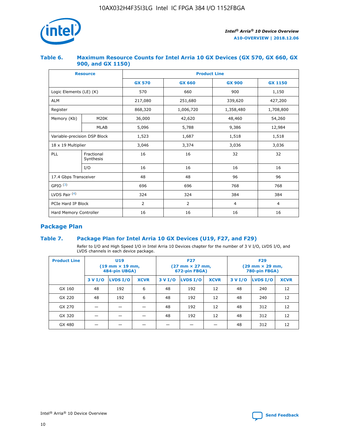

#### **Table 6. Maximum Resource Counts for Intel Arria 10 GX Devices (GX 570, GX 660, GX 900, and GX 1150)**

|                              | <b>Resource</b>         | <b>Product Line</b> |                |                |                |  |  |  |
|------------------------------|-------------------------|---------------------|----------------|----------------|----------------|--|--|--|
|                              |                         | <b>GX 570</b>       | <b>GX 660</b>  | <b>GX 900</b>  | <b>GX 1150</b> |  |  |  |
| Logic Elements (LE) (K)      |                         | 570                 | 660            | 900            | 1,150          |  |  |  |
| <b>ALM</b>                   |                         | 217,080             | 251,680        | 339,620        | 427,200        |  |  |  |
| Register                     |                         | 868,320             | 1,006,720      | 1,358,480      | 1,708,800      |  |  |  |
| Memory (Kb)                  | <b>M20K</b>             | 36,000              | 42,620         | 48,460         | 54,260         |  |  |  |
|                              | <b>MLAB</b>             | 5,096               | 5,788          | 9,386          | 12,984         |  |  |  |
| Variable-precision DSP Block |                         | 1,523               | 1,687          | 1,518          | 1,518          |  |  |  |
| $18 \times 19$ Multiplier    |                         | 3,046               | 3,374          | 3,036          | 3,036          |  |  |  |
| PLL                          | Fractional<br>Synthesis | 16                  | 16             | 32             | 32             |  |  |  |
|                              | I/O                     | 16                  | 16             | 16             | 16             |  |  |  |
| 17.4 Gbps Transceiver        |                         | 48                  | 48             | 96             | 96             |  |  |  |
| GPIO <sup>(3)</sup>          |                         | 696                 | 696            | 768            | 768            |  |  |  |
| LVDS Pair $(4)$              |                         | 324                 | 324            | 384            | 384            |  |  |  |
| PCIe Hard IP Block           |                         | 2                   | $\overline{2}$ | $\overline{4}$ | 4              |  |  |  |
| Hard Memory Controller       |                         | 16                  | 16             | 16             | 16             |  |  |  |

# **Package Plan**

#### **Table 7. Package Plan for Intel Arria 10 GX Devices (U19, F27, and F29)**

Refer to I/O and High Speed I/O in Intel Arria 10 Devices chapter for the number of 3 V I/O, LVDS I/O, and LVDS channels in each device package.

| <b>Product Line</b> | <b>U19</b><br>$(19 \text{ mm} \times 19 \text{ mm})$<br>484-pin UBGA) |          |             |         | <b>F27</b><br>(27 mm × 27 mm,<br>672-pin FBGA) |             | <b>F29</b><br>(29 mm × 29 mm,<br>780-pin FBGA) |          |             |  |
|---------------------|-----------------------------------------------------------------------|----------|-------------|---------|------------------------------------------------|-------------|------------------------------------------------|----------|-------------|--|
|                     | 3 V I/O                                                               | LVDS I/O | <b>XCVR</b> | 3 V I/O | LVDS I/O                                       | <b>XCVR</b> | 3 V I/O                                        | LVDS I/O | <b>XCVR</b> |  |
| GX 160              | 48                                                                    | 192      | 6           | 48      | 192                                            | 12          | 48                                             | 240      | 12          |  |
| GX 220              | 48                                                                    | 192      | 6           | 48      | 192                                            | 12          | 48                                             | 240      | 12          |  |
| GX 270              |                                                                       |          |             | 48      | 192                                            | 12          | 48                                             | 312      | 12          |  |
| GX 320              |                                                                       |          |             | 48      | 192                                            | 12          | 48                                             | 312      | 12          |  |
| GX 480              |                                                                       |          |             |         |                                                |             | 48                                             | 312      | 12          |  |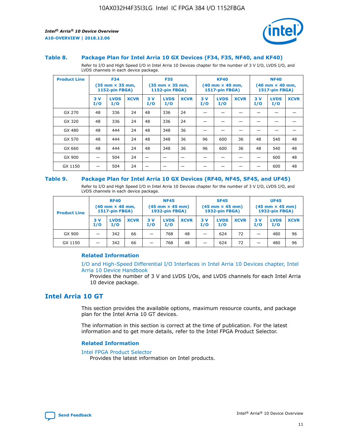

#### **Table 8. Package Plan for Intel Arria 10 GX Devices (F34, F35, NF40, and KF40)**

Refer to I/O and High Speed I/O in Intel Arria 10 Devices chapter for the number of 3 V I/O, LVDS I/O, and LVDS channels in each device package.

| <b>Product Line</b> |           | <b>F34</b>         | $(35 \text{ mm} \times 35 \text{ mm})$<br>1152-pin FBGA) |           | <b>F35</b><br>$(35$ mm $\times$ 35 mm,<br><b>1152-pin FBGA)</b> |             | <b>KF40</b><br>$(40 \text{ mm} \times 40 \text{ mm})$<br>1517-pin FBGA) |                    |             | <b>NF40</b><br>$(40 \text{ mm} \times 40 \text{ mm})$<br><b>1517-pin FBGA)</b> |                    |             |
|---------------------|-----------|--------------------|----------------------------------------------------------|-----------|-----------------------------------------------------------------|-------------|-------------------------------------------------------------------------|--------------------|-------------|--------------------------------------------------------------------------------|--------------------|-------------|
|                     | 3V<br>I/O | <b>LVDS</b><br>I/O | <b>XCVR</b>                                              | 3V<br>I/O | <b>LVDS</b><br>I/O                                              | <b>XCVR</b> | 3V<br>I/O                                                               | <b>LVDS</b><br>I/O | <b>XCVR</b> | 3 V<br>I/O                                                                     | <b>LVDS</b><br>I/O | <b>XCVR</b> |
| GX 270              | 48        | 336                | 24                                                       | 48        | 336                                                             | 24          |                                                                         |                    |             |                                                                                |                    |             |
| GX 320              | 48        | 336                | 24                                                       | 48        | 336                                                             | 24          |                                                                         |                    |             |                                                                                |                    |             |
| GX 480              | 48        | 444                | 24                                                       | 48        | 348                                                             | 36          |                                                                         |                    |             |                                                                                |                    |             |
| GX 570              | 48        | 444                | 24                                                       | 48        | 348                                                             | 36          | 96                                                                      | 600                | 36          | 48                                                                             | 540                | 48          |
| GX 660              | 48        | 444                | 24                                                       | 48        | 348                                                             | 36          | 96                                                                      | 600                | 36          | 48                                                                             | 540                | 48          |
| GX 900              |           | 504                | 24                                                       |           |                                                                 |             |                                                                         |                    |             |                                                                                | 600                | 48          |
| GX 1150             |           | 504                | 24                                                       |           |                                                                 |             |                                                                         |                    |             |                                                                                | 600                | 48          |

#### **Table 9. Package Plan for Intel Arria 10 GX Devices (RF40, NF45, SF45, and UF45)**

Refer to I/O and High Speed I/O in Intel Arria 10 Devices chapter for the number of 3 V I/O, LVDS I/O, and LVDS channels in each device package.

| <b>Product Line</b> | <b>RF40</b><br>$(40$ mm $\times$ 40 mm,<br>1517-pin FBGA) |                    |             | <b>NF45</b><br>$(45 \text{ mm} \times 45 \text{ mm})$<br><b>1932-pin FBGA)</b> |                    |             | <b>SF45</b><br>$(45 \text{ mm} \times 45 \text{ mm})$<br><b>1932-pin FBGA)</b> |                    |             | <b>UF45</b><br>$(45 \text{ mm} \times 45 \text{ mm})$<br><b>1932-pin FBGA)</b> |                    |             |
|---------------------|-----------------------------------------------------------|--------------------|-------------|--------------------------------------------------------------------------------|--------------------|-------------|--------------------------------------------------------------------------------|--------------------|-------------|--------------------------------------------------------------------------------|--------------------|-------------|
|                     | 3V<br>I/O                                                 | <b>LVDS</b><br>I/O | <b>XCVR</b> | 3 V<br>I/O                                                                     | <b>LVDS</b><br>I/O | <b>XCVR</b> | 3 V<br>I/O                                                                     | <b>LVDS</b><br>I/O | <b>XCVR</b> | 3V<br>I/O                                                                      | <b>LVDS</b><br>I/O | <b>XCVR</b> |
| GX 900              |                                                           | 342                | 66          | _                                                                              | 768                | 48          |                                                                                | 624                | 72          |                                                                                | 480                | 96          |
| GX 1150             |                                                           | 342                | 66          | _                                                                              | 768                | 48          |                                                                                | 624                | 72          |                                                                                | 480                | 96          |

#### **Related Information**

[I/O and High-Speed Differential I/O Interfaces in Intel Arria 10 Devices chapter, Intel](https://www.intel.com/content/www/us/en/programmable/documentation/sam1403482614086.html#sam1403482030321) [Arria 10 Device Handbook](https://www.intel.com/content/www/us/en/programmable/documentation/sam1403482614086.html#sam1403482030321)

Provides the number of 3 V and LVDS I/Os, and LVDS channels for each Intel Arria 10 device package.

### **Intel Arria 10 GT**

This section provides the available options, maximum resource counts, and package plan for the Intel Arria 10 GT devices.

The information in this section is correct at the time of publication. For the latest information and to get more details, refer to the Intel FPGA Product Selector.

#### **Related Information**

#### [Intel FPGA Product Selector](http://www.altera.com/products/selector/psg-selector.html)

Provides the latest information on Intel products.

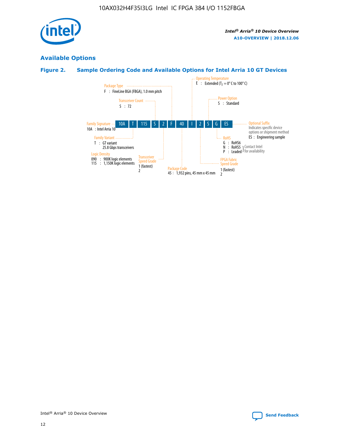

# **Available Options**

#### **Figure 2. Sample Ordering Code and Available Options for Intel Arria 10 GT Devices**

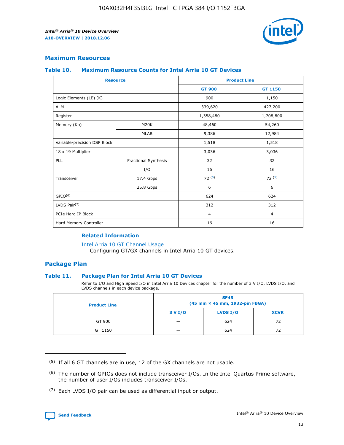

#### **Maximum Resources**

#### **Table 10. Maximum Resource Counts for Intel Arria 10 GT Devices**

| <b>Resource</b>              |                      | <b>Product Line</b> |                |  |
|------------------------------|----------------------|---------------------|----------------|--|
|                              |                      | <b>GT 900</b>       | GT 1150        |  |
| Logic Elements (LE) (K)      |                      | 900                 | 1,150          |  |
| <b>ALM</b>                   |                      | 339,620             | 427,200        |  |
| Register                     |                      | 1,358,480           | 1,708,800      |  |
| Memory (Kb)                  | M <sub>20</sub> K    | 48,460              | 54,260         |  |
|                              | <b>MLAB</b>          | 9,386               | 12,984         |  |
| Variable-precision DSP Block |                      | 1,518               | 1,518          |  |
| 18 x 19 Multiplier           |                      | 3,036               | 3,036          |  |
| PLL                          | Fractional Synthesis | 32                  | 32             |  |
|                              | I/O                  | 16                  | 16             |  |
| Transceiver                  | 17.4 Gbps            | 72(5)               | 72(5)          |  |
|                              | 25.8 Gbps            | 6                   | 6              |  |
| GPIO <sup>(6)</sup>          |                      | 624                 | 624            |  |
| LVDS Pair $(7)$              |                      | 312                 | 312            |  |
| PCIe Hard IP Block           |                      | $\overline{4}$      | $\overline{4}$ |  |
| Hard Memory Controller       |                      | 16                  | 16             |  |

#### **Related Information**

#### [Intel Arria 10 GT Channel Usage](https://www.intel.com/content/www/us/en/programmable/documentation/nik1398707230472.html#nik1398707008178)

Configuring GT/GX channels in Intel Arria 10 GT devices.

#### **Package Plan**

#### **Table 11. Package Plan for Intel Arria 10 GT Devices**

Refer to I/O and High Speed I/O in Intel Arria 10 Devices chapter for the number of 3 V I/O, LVDS I/O, and LVDS channels in each device package.

| <b>Product Line</b> | <b>SF45</b><br>(45 mm × 45 mm, 1932-pin FBGA) |                 |             |  |  |  |
|---------------------|-----------------------------------------------|-----------------|-------------|--|--|--|
|                     | 3 V I/O                                       | <b>LVDS I/O</b> | <b>XCVR</b> |  |  |  |
| GT 900              |                                               | 624             | 72          |  |  |  |
| GT 1150             |                                               | 624             | 72          |  |  |  |

<sup>(7)</sup> Each LVDS I/O pair can be used as differential input or output.



 $(5)$  If all 6 GT channels are in use, 12 of the GX channels are not usable.

<sup>(6)</sup> The number of GPIOs does not include transceiver I/Os. In the Intel Quartus Prime software, the number of user I/Os includes transceiver I/Os.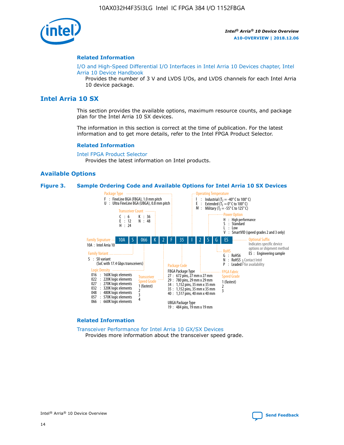

#### **Related Information**

[I/O and High-Speed Differential I/O Interfaces in Intel Arria 10 Devices chapter, Intel](https://www.intel.com/content/www/us/en/programmable/documentation/sam1403482614086.html#sam1403482030321) [Arria 10 Device Handbook](https://www.intel.com/content/www/us/en/programmable/documentation/sam1403482614086.html#sam1403482030321)

Provides the number of 3 V and LVDS I/Os, and LVDS channels for each Intel Arria 10 device package.

#### **Intel Arria 10 SX**

This section provides the available options, maximum resource counts, and package plan for the Intel Arria 10 SX devices.

The information in this section is correct at the time of publication. For the latest information and to get more details, refer to the Intel FPGA Product Selector.

#### **Related Information**

[Intel FPGA Product Selector](http://www.altera.com/products/selector/psg-selector.html) Provides the latest information on Intel products.

#### **Available Options**

#### **Figure 3. Sample Ordering Code and Available Options for Intel Arria 10 SX Devices**



#### **Related Information**

[Transceiver Performance for Intel Arria 10 GX/SX Devices](https://www.intel.com/content/www/us/en/programmable/documentation/mcn1413182292568.html#mcn1413213965502) Provides more information about the transceiver speed grade.

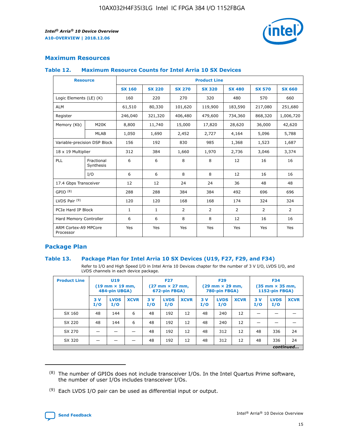

#### **Maximum Resources**

#### **Table 12. Maximum Resource Counts for Intel Arria 10 SX Devices**

|                                   | <b>Resource</b>         | <b>Product Line</b> |               |                |                |                |                |                |  |  |  |
|-----------------------------------|-------------------------|---------------------|---------------|----------------|----------------|----------------|----------------|----------------|--|--|--|
|                                   |                         | <b>SX 160</b>       | <b>SX 220</b> | <b>SX 270</b>  | <b>SX 320</b>  | <b>SX 480</b>  | <b>SX 570</b>  | <b>SX 660</b>  |  |  |  |
| Logic Elements (LE) (K)           |                         | 160                 | 220           | 270            | 320            | 480            | 570            | 660            |  |  |  |
| <b>ALM</b>                        |                         | 61,510              | 80,330        | 101,620        | 119,900        | 183,590        | 217,080        | 251,680        |  |  |  |
| Register                          |                         | 246,040             | 321,320       | 406,480        | 479,600        | 734,360        | 868,320        | 1,006,720      |  |  |  |
| Memory (Kb)                       | M <sub>20</sub> K       | 8,800               | 11,740        | 15,000         | 17,820         | 28,620         | 36,000         | 42,620         |  |  |  |
|                                   | <b>MLAB</b>             | 1,050               | 1,690         | 2,452          | 2,727          | 4,164          | 5,096          | 5,788          |  |  |  |
| Variable-precision DSP Block      |                         | 156                 | 192           | 830            | 985            | 1,368          | 1,523          | 1,687          |  |  |  |
| 18 x 19 Multiplier                |                         | 312                 | 384           | 1,660          | 1,970          | 2,736          | 3,046          | 3,374          |  |  |  |
| <b>PLL</b>                        | Fractional<br>Synthesis | 6                   | 6             | 8              | 8              | 12             | 16             | 16             |  |  |  |
|                                   | I/O                     | 6                   | 6             | 8              | 8              | 12             | 16             | 16             |  |  |  |
| 17.4 Gbps Transceiver             |                         | 12                  | 12            | 24             | 24             | 36             | 48             | 48             |  |  |  |
| GPIO <sup>(8)</sup>               |                         | 288                 | 288           | 384            | 384            | 492            | 696            | 696            |  |  |  |
| LVDS Pair $(9)$                   |                         | 120                 | 120           | 168            | 168            | 174            | 324            | 324            |  |  |  |
| PCIe Hard IP Block                |                         | $\mathbf{1}$        | $\mathbf{1}$  | $\overline{2}$ | $\overline{2}$ | $\overline{2}$ | $\overline{2}$ | $\overline{2}$ |  |  |  |
| Hard Memory Controller            |                         | 6                   | 6             | 8              | 8              | 12             | 16             | 16             |  |  |  |
| ARM Cortex-A9 MPCore<br>Processor |                         | Yes                 | Yes           | Yes            | Yes            | Yes            | Yes            | Yes            |  |  |  |

#### **Package Plan**

#### **Table 13. Package Plan for Intel Arria 10 SX Devices (U19, F27, F29, and F34)**

Refer to I/O and High Speed I/O in Intel Arria 10 Devices chapter for the number of 3 V I/O, LVDS I/O, and LVDS channels in each device package.

| <b>Product Line</b> | U19<br>$(19 \text{ mm} \times 19 \text{ mm})$<br>484-pin UBGA) |                    |             | <b>F27</b><br>$(27 \text{ mm} \times 27 \text{ mm})$ .<br>672-pin FBGA) |                    | <b>F29</b><br>$(29 \text{ mm} \times 29 \text{ mm})$ .<br>780-pin FBGA) |            |                    | <b>F34</b><br>$(35 \text{ mm} \times 35 \text{ mm})$<br><b>1152-pin FBGA)</b> |           |                    |             |
|---------------------|----------------------------------------------------------------|--------------------|-------------|-------------------------------------------------------------------------|--------------------|-------------------------------------------------------------------------|------------|--------------------|-------------------------------------------------------------------------------|-----------|--------------------|-------------|
|                     | 3V<br>I/O                                                      | <b>LVDS</b><br>I/O | <b>XCVR</b> | 3V<br>I/O                                                               | <b>LVDS</b><br>I/O | <b>XCVR</b>                                                             | 3 V<br>I/O | <b>LVDS</b><br>I/O | <b>XCVR</b>                                                                   | 3V<br>I/O | <b>LVDS</b><br>I/O | <b>XCVR</b> |
| SX 160              | 48                                                             | 144                | 6           | 48                                                                      | 192                | 12                                                                      | 48         | 240                | 12                                                                            |           |                    |             |
| SX 220              | 48                                                             | 144                | 6           | 48                                                                      | 192                | 12                                                                      | 48         | 240                | 12                                                                            |           |                    |             |
| SX 270              |                                                                |                    |             | 48                                                                      | 192                | 12                                                                      | 48         | 312                | 12                                                                            | 48        | 336                | 24          |
| SX 320              |                                                                |                    |             | 48                                                                      | 192                | 12                                                                      | 48         | 312                | 12                                                                            | 48        | 336                | 24          |
|                     | continued                                                      |                    |             |                                                                         |                    |                                                                         |            |                    |                                                                               |           |                    |             |

 $(8)$  The number of GPIOs does not include transceiver I/Os. In the Intel Quartus Prime software, the number of user I/Os includes transceiver I/Os.

 $(9)$  Each LVDS I/O pair can be used as differential input or output.

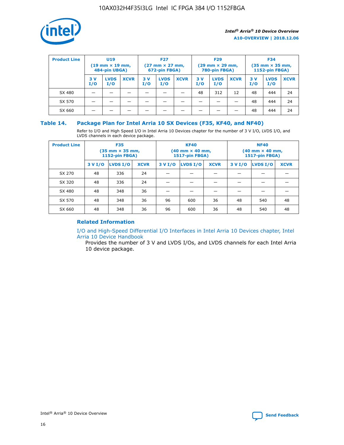

| <b>Product Line</b> | U <sub>19</sub><br>$(19 \text{ mm} \times 19 \text{ mm})$<br>484-pin UBGA) |                    | <b>F27</b><br>$(27 \text{ mm} \times 27 \text{ mm})$<br>672-pin FBGA) |           | <b>F29</b><br>$(29 \text{ mm} \times 29 \text{ mm})$<br>780-pin FBGA) |             |           | <b>F34</b><br>$(35$ mm $\times$ 35 mm,<br><b>1152-pin FBGA)</b> |             |           |                    |             |
|---------------------|----------------------------------------------------------------------------|--------------------|-----------------------------------------------------------------------|-----------|-----------------------------------------------------------------------|-------------|-----------|-----------------------------------------------------------------|-------------|-----------|--------------------|-------------|
|                     | 3V<br>I/O                                                                  | <b>LVDS</b><br>I/O | <b>XCVR</b>                                                           | 3V<br>I/O | <b>LVDS</b><br>I/O                                                    | <b>XCVR</b> | 3V<br>I/O | <b>LVDS</b><br>I/O                                              | <b>XCVR</b> | 3V<br>I/O | <b>LVDS</b><br>I/O | <b>XCVR</b> |
| SX 480              |                                                                            |                    |                                                                       |           |                                                                       |             | 48        | 312                                                             | 12          | 48        | 444                | 24          |
| SX 570              |                                                                            |                    |                                                                       |           |                                                                       |             |           |                                                                 |             | 48        | 444                | 24          |
| SX 660              |                                                                            |                    |                                                                       |           |                                                                       |             |           |                                                                 |             | 48        | 444                | 24          |

#### **Table 14. Package Plan for Intel Arria 10 SX Devices (F35, KF40, and NF40)**

Refer to I/O and High Speed I/O in Intel Arria 10 Devices chapter for the number of 3 V I/O, LVDS I/O, and LVDS channels in each device package.

| <b>Product Line</b> | <b>F35</b><br>$(35 \text{ mm} \times 35 \text{ mm})$<br><b>1152-pin FBGA)</b> |          |             |                                           | <b>KF40</b><br>(40 mm × 40 mm,<br>1517-pin FBGA) |    | <b>NF40</b><br>$(40 \text{ mm} \times 40 \text{ mm})$<br>1517-pin FBGA) |          |             |  |
|---------------------|-------------------------------------------------------------------------------|----------|-------------|-------------------------------------------|--------------------------------------------------|----|-------------------------------------------------------------------------|----------|-------------|--|
|                     | 3 V I/O                                                                       | LVDS I/O | <b>XCVR</b> | <b>LVDS I/O</b><br><b>XCVR</b><br>3 V I/O |                                                  |    | 3 V I/O                                                                 | LVDS I/O | <b>XCVR</b> |  |
| SX 270              | 48                                                                            | 336      | 24          |                                           |                                                  |    |                                                                         |          |             |  |
| SX 320              | 48                                                                            | 336      | 24          |                                           |                                                  |    |                                                                         |          |             |  |
| SX 480              | 48                                                                            | 348      | 36          |                                           |                                                  |    |                                                                         |          |             |  |
| SX 570              | 48                                                                            | 348      | 36          | 96                                        | 600                                              | 36 | 48                                                                      | 540      | 48          |  |
| SX 660              | 48                                                                            | 348      | 36          | 96                                        | 600                                              | 36 | 48                                                                      | 540      | 48          |  |

#### **Related Information**

[I/O and High-Speed Differential I/O Interfaces in Intel Arria 10 Devices chapter, Intel](https://www.intel.com/content/www/us/en/programmable/documentation/sam1403482614086.html#sam1403482030321) [Arria 10 Device Handbook](https://www.intel.com/content/www/us/en/programmable/documentation/sam1403482614086.html#sam1403482030321)

Provides the number of 3 V and LVDS I/Os, and LVDS channels for each Intel Arria 10 device package.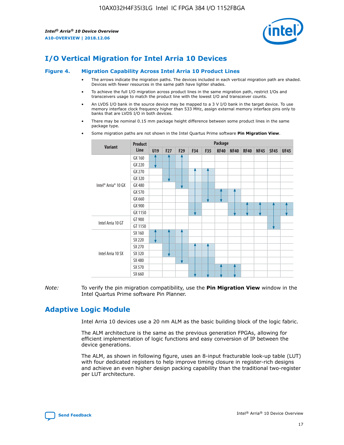

# **I/O Vertical Migration for Intel Arria 10 Devices**

#### **Figure 4. Migration Capability Across Intel Arria 10 Product Lines**

- The arrows indicate the migration paths. The devices included in each vertical migration path are shaded. Devices with fewer resources in the same path have lighter shades.
- To achieve the full I/O migration across product lines in the same migration path, restrict I/Os and transceivers usage to match the product line with the lowest I/O and transceiver counts.
- An LVDS I/O bank in the source device may be mapped to a 3 V I/O bank in the target device. To use memory interface clock frequency higher than 533 MHz, assign external memory interface pins only to banks that are LVDS I/O in both devices.
- There may be nominal 0.15 mm package height difference between some product lines in the same package type.
	- **Variant Product Line Package U19 F27 F29 F34 F35 KF40 NF40 RF40 NF45 SF45 UF45** Intel® Arria® 10 GX GX 160 GX 220 GX 270 GX 320 GX 480 GX 570 GX 660 GX 900 GX 1150 Intel Arria 10 GT GT 900 GT 1150 Intel Arria 10 SX SX 160 SX 220 SX 270 SX 320 SX 480 SX 570 SX 660
- Some migration paths are not shown in the Intel Quartus Prime software **Pin Migration View**.

*Note:* To verify the pin migration compatibility, use the **Pin Migration View** window in the Intel Quartus Prime software Pin Planner.

# **Adaptive Logic Module**

Intel Arria 10 devices use a 20 nm ALM as the basic building block of the logic fabric.

The ALM architecture is the same as the previous generation FPGAs, allowing for efficient implementation of logic functions and easy conversion of IP between the device generations.

The ALM, as shown in following figure, uses an 8-input fracturable look-up table (LUT) with four dedicated registers to help improve timing closure in register-rich designs and achieve an even higher design packing capability than the traditional two-register per LUT architecture.

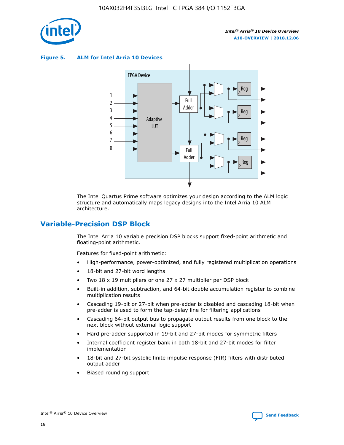

**Figure 5. ALM for Intel Arria 10 Devices**



The Intel Quartus Prime software optimizes your design according to the ALM logic structure and automatically maps legacy designs into the Intel Arria 10 ALM architecture.

# **Variable-Precision DSP Block**

The Intel Arria 10 variable precision DSP blocks support fixed-point arithmetic and floating-point arithmetic.

Features for fixed-point arithmetic:

- High-performance, power-optimized, and fully registered multiplication operations
- 18-bit and 27-bit word lengths
- Two 18 x 19 multipliers or one 27 x 27 multiplier per DSP block
- Built-in addition, subtraction, and 64-bit double accumulation register to combine multiplication results
- Cascading 19-bit or 27-bit when pre-adder is disabled and cascading 18-bit when pre-adder is used to form the tap-delay line for filtering applications
- Cascading 64-bit output bus to propagate output results from one block to the next block without external logic support
- Hard pre-adder supported in 19-bit and 27-bit modes for symmetric filters
- Internal coefficient register bank in both 18-bit and 27-bit modes for filter implementation
- 18-bit and 27-bit systolic finite impulse response (FIR) filters with distributed output adder
- Biased rounding support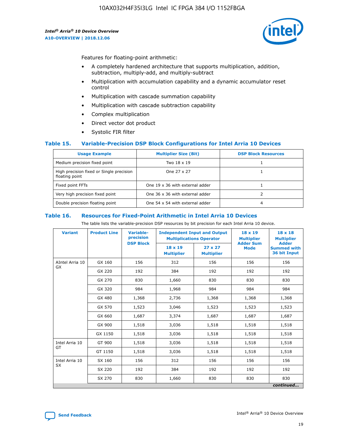

Features for floating-point arithmetic:

- A completely hardened architecture that supports multiplication, addition, subtraction, multiply-add, and multiply-subtract
- Multiplication with accumulation capability and a dynamic accumulator reset control
- Multiplication with cascade summation capability
- Multiplication with cascade subtraction capability
- Complex multiplication
- Direct vector dot product
- Systolic FIR filter

#### **Table 15. Variable-Precision DSP Block Configurations for Intel Arria 10 Devices**

| <b>Usage Example</b>                                       | <b>Multiplier Size (Bit)</b>    | <b>DSP Block Resources</b> |
|------------------------------------------------------------|---------------------------------|----------------------------|
| Medium precision fixed point                               | Two 18 x 19                     |                            |
| High precision fixed or Single precision<br>floating point | One 27 x 27                     |                            |
| Fixed point FFTs                                           | One 19 x 36 with external adder |                            |
| Very high precision fixed point                            | One 36 x 36 with external adder |                            |
| Double precision floating point                            | One 54 x 54 with external adder | 4                          |

#### **Table 16. Resources for Fixed-Point Arithmetic in Intel Arria 10 Devices**

The table lists the variable-precision DSP resources by bit precision for each Intel Arria 10 device.

| <b>Variant</b>  | <b>Product Line</b> | <b>Variable-</b><br>precision<br><b>DSP Block</b> | <b>Independent Input and Output</b><br><b>Multiplications Operator</b> |                                     | 18 x 19<br><b>Multiplier</b><br><b>Adder Sum</b> | $18 \times 18$<br><b>Multiplier</b><br><b>Adder</b> |
|-----------------|---------------------|---------------------------------------------------|------------------------------------------------------------------------|-------------------------------------|--------------------------------------------------|-----------------------------------------------------|
|                 |                     |                                                   | 18 x 19<br><b>Multiplier</b>                                           | $27 \times 27$<br><b>Multiplier</b> | <b>Mode</b>                                      | <b>Summed with</b><br>36 bit Input                  |
| AIntel Arria 10 | GX 160              | 156                                               | 312                                                                    | 156                                 | 156                                              | 156                                                 |
| GX              | GX 220              | 192                                               | 384                                                                    | 192                                 | 192                                              | 192                                                 |
|                 | GX 270              | 830                                               | 1,660                                                                  | 830                                 | 830                                              | 830                                                 |
|                 | GX 320              | 984                                               | 1,968                                                                  | 984                                 | 984                                              | 984                                                 |
|                 | GX 480              | 1,368                                             | 2,736                                                                  | 1,368                               | 1,368                                            | 1,368                                               |
|                 | GX 570              | 1,523                                             | 3,046                                                                  | 1,523                               | 1,523                                            | 1,523                                               |
|                 | GX 660              | 1,687                                             | 3,374                                                                  | 1,687                               | 1,687                                            | 1,687                                               |
|                 | GX 900              | 1,518                                             | 3,036                                                                  | 1,518                               | 1,518                                            | 1,518                                               |
|                 | GX 1150             | 1,518                                             | 3,036                                                                  | 1,518                               | 1,518                                            | 1,518                                               |
| Intel Arria 10  | GT 900              | 1,518                                             | 3,036                                                                  | 1,518                               | 1,518                                            | 1,518                                               |
| GT              | GT 1150             | 1,518                                             | 3,036                                                                  | 1,518                               | 1,518                                            | 1,518                                               |
| Intel Arria 10  | SX 160              | 156                                               | 312                                                                    | 156                                 | 156                                              | 156                                                 |
| <b>SX</b>       | SX 220<br>192       |                                                   | 384                                                                    | 192                                 | 192                                              | 192                                                 |
|                 | SX 270              | 830                                               | 1,660                                                                  | 830                                 | 830                                              | 830                                                 |
|                 |                     |                                                   |                                                                        |                                     |                                                  | continued                                           |

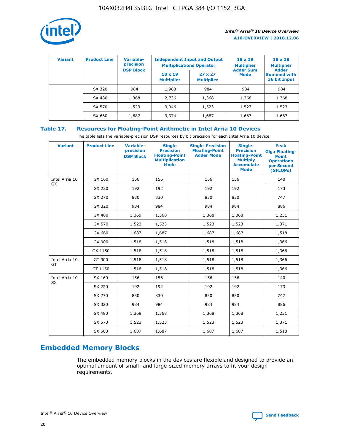

| <b>Variant</b> | <b>Product Line</b> | <b>Variable-</b><br>precision<br><b>DSP Block</b> | <b>Independent Input and Output</b><br><b>Multiplications Operator</b> |                                     | $18 \times 19$<br><b>Multiplier</b><br><b>Adder Sum</b> | $18 \times 18$<br><b>Multiplier</b><br><b>Adder</b> |  |
|----------------|---------------------|---------------------------------------------------|------------------------------------------------------------------------|-------------------------------------|---------------------------------------------------------|-----------------------------------------------------|--|
|                |                     |                                                   | $18 \times 19$<br><b>Multiplier</b>                                    | $27 \times 27$<br><b>Multiplier</b> | <b>Mode</b>                                             | <b>Summed with</b><br>36 bit Input                  |  |
|                | SX 320              | 984                                               | 1,968                                                                  | 984                                 | 984                                                     | 984                                                 |  |
|                | SX 480              | 1,368                                             | 2,736                                                                  | 1,368                               | 1,368                                                   | 1,368                                               |  |
|                | SX 570              | 1,523                                             | 3,046                                                                  | 1,523                               | 1,523                                                   | 1,523                                               |  |
|                | SX 660              | 1,687                                             | 3,374                                                                  | 1,687                               | 1,687                                                   | 1,687                                               |  |

#### **Table 17. Resources for Floating-Point Arithmetic in Intel Arria 10 Devices**

The table lists the variable-precision DSP resources by bit precision for each Intel Arria 10 device.

| <b>Variant</b>              | <b>Product Line</b> | <b>Variable-</b><br>precision<br><b>DSP Block</b> | <b>Single</b><br><b>Precision</b><br><b>Floating-Point</b><br><b>Multiplication</b><br><b>Mode</b> | <b>Single-Precision</b><br><b>Floating-Point</b><br><b>Adder Mode</b> | Single-<br><b>Precision</b><br><b>Floating-Point</b><br><b>Multiply</b><br><b>Accumulate</b><br><b>Mode</b> | <b>Peak</b><br><b>Giga Floating-</b><br><b>Point</b><br><b>Operations</b><br>per Second<br>(GFLOPs) |
|-----------------------------|---------------------|---------------------------------------------------|----------------------------------------------------------------------------------------------------|-----------------------------------------------------------------------|-------------------------------------------------------------------------------------------------------------|-----------------------------------------------------------------------------------------------------|
| Intel Arria 10<br>GX        | GX 160              | 156                                               | 156                                                                                                | 156                                                                   | 156                                                                                                         | 140                                                                                                 |
|                             | GX 220              | 192                                               | 192                                                                                                | 192                                                                   | 192                                                                                                         | 173                                                                                                 |
|                             | GX 270              | 830                                               | 830                                                                                                | 830                                                                   | 830                                                                                                         | 747                                                                                                 |
|                             | GX 320              | 984                                               | 984                                                                                                | 984                                                                   | 984                                                                                                         | 886                                                                                                 |
|                             | GX 480              | 1,369                                             | 1,368                                                                                              | 1,368                                                                 | 1,368                                                                                                       | 1,231                                                                                               |
|                             | GX 570              | 1,523                                             | 1,523                                                                                              | 1,523                                                                 | 1,523                                                                                                       | 1,371                                                                                               |
|                             | GX 660              | 1,687                                             | 1,687                                                                                              | 1,687                                                                 | 1,687                                                                                                       | 1,518                                                                                               |
|                             | GX 900              | 1,518                                             | 1,518                                                                                              | 1,518                                                                 | 1,518                                                                                                       | 1,366                                                                                               |
|                             | GX 1150             | 1,518                                             | 1,518                                                                                              | 1,518                                                                 | 1,518                                                                                                       | 1,366                                                                                               |
| Intel Arria 10              | GT 900              | 1,518                                             | 1,518                                                                                              | 1,518                                                                 | 1,518                                                                                                       | 1,366                                                                                               |
| GT                          | GT 1150             | 1,518                                             | 1,518                                                                                              | 1,518                                                                 | 1,518                                                                                                       | 1,366                                                                                               |
| Intel Arria 10<br><b>SX</b> | SX 160              | 156                                               | 156                                                                                                | 156                                                                   | 156                                                                                                         | 140                                                                                                 |
|                             | SX 220              | 192                                               | 192                                                                                                | 192                                                                   | 192                                                                                                         | 173                                                                                                 |
|                             | SX 270              | 830                                               | 830                                                                                                | 830                                                                   | 830                                                                                                         | 747                                                                                                 |
|                             | SX 320              | 984                                               | 984                                                                                                | 984                                                                   | 984                                                                                                         | 886                                                                                                 |
|                             | SX 480              | 1,369                                             | 1,368                                                                                              | 1,368                                                                 | 1,368                                                                                                       | 1,231                                                                                               |
|                             | SX 570              | 1,523                                             | 1,523                                                                                              | 1,523                                                                 | 1,523                                                                                                       | 1,371                                                                                               |
|                             | SX 660              | 1,687                                             | 1,687                                                                                              | 1,687                                                                 | 1,687                                                                                                       | 1,518                                                                                               |

# **Embedded Memory Blocks**

The embedded memory blocks in the devices are flexible and designed to provide an optimal amount of small- and large-sized memory arrays to fit your design requirements.

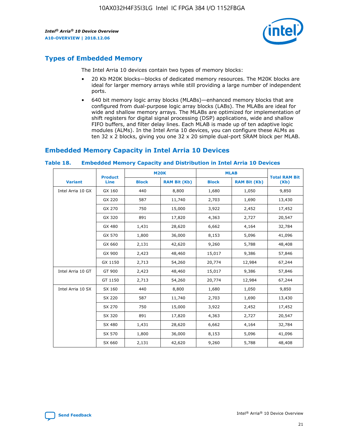

# **Types of Embedded Memory**

The Intel Arria 10 devices contain two types of memory blocks:

- 20 Kb M20K blocks—blocks of dedicated memory resources. The M20K blocks are ideal for larger memory arrays while still providing a large number of independent ports.
- 640 bit memory logic array blocks (MLABs)—enhanced memory blocks that are configured from dual-purpose logic array blocks (LABs). The MLABs are ideal for wide and shallow memory arrays. The MLABs are optimized for implementation of shift registers for digital signal processing (DSP) applications, wide and shallow FIFO buffers, and filter delay lines. Each MLAB is made up of ten adaptive logic modules (ALMs). In the Intel Arria 10 devices, you can configure these ALMs as ten 32 x 2 blocks, giving you one 32 x 20 simple dual-port SRAM block per MLAB.

# **Embedded Memory Capacity in Intel Arria 10 Devices**

|                   | <b>Product</b> | <b>M20K</b>  |                     | <b>MLAB</b>  |                     | <b>Total RAM Bit</b> |
|-------------------|----------------|--------------|---------------------|--------------|---------------------|----------------------|
| <b>Variant</b>    | <b>Line</b>    | <b>Block</b> | <b>RAM Bit (Kb)</b> | <b>Block</b> | <b>RAM Bit (Kb)</b> | (Kb)                 |
| Intel Arria 10 GX | GX 160         | 440          | 8,800               | 1,680        | 1,050               | 9,850                |
|                   | GX 220         | 587          | 11,740              | 2,703        | 1,690               | 13,430               |
|                   | GX 270         | 750          | 15,000              | 3,922        | 2,452               | 17,452               |
|                   | GX 320         | 891          | 17,820              | 4,363        | 2,727               | 20,547               |
|                   | GX 480         | 1,431        | 28,620              | 6,662        | 4,164               | 32,784               |
|                   | GX 570         | 1,800        | 36,000              | 8,153        | 5,096               | 41,096               |
|                   | GX 660         | 2,131        | 42,620              | 9,260        | 5,788               | 48,408               |
|                   | GX 900         | 2,423        | 48,460              | 15,017       | 9,386               | 57,846               |
|                   | GX 1150        | 2,713        | 54,260              | 20,774       | 12,984              | 67,244               |
| Intel Arria 10 GT | GT 900         | 2,423        | 48,460              | 15,017       | 9,386               | 57,846               |
|                   | GT 1150        | 2,713        | 54,260              | 20,774       | 12,984              | 67,244               |
| Intel Arria 10 SX | SX 160         | 440          | 8,800               | 1,680        | 1,050               | 9,850                |
|                   | SX 220         | 587          | 11,740              | 2,703        | 1,690               | 13,430               |
|                   | SX 270         | 750          | 15,000              | 3,922        | 2,452               | 17,452               |
|                   | SX 320         | 891          | 17,820              | 4,363        | 2,727               | 20,547               |
|                   | SX 480         | 1,431        | 28,620              | 6,662        | 4,164               | 32,784               |
|                   | SX 570         | 1,800        | 36,000              | 8,153        | 5,096               | 41,096               |
|                   | SX 660         | 2,131        | 42,620              | 9,260        | 5,788               | 48,408               |

#### **Table 18. Embedded Memory Capacity and Distribution in Intel Arria 10 Devices**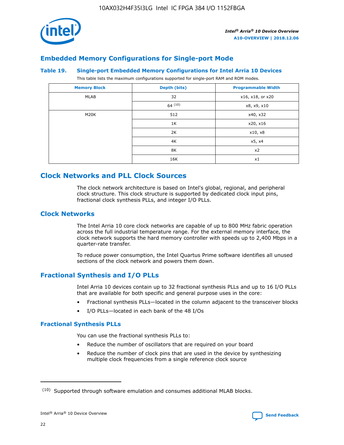

# **Embedded Memory Configurations for Single-port Mode**

#### **Table 19. Single-port Embedded Memory Configurations for Intel Arria 10 Devices**

This table lists the maximum configurations supported for single-port RAM and ROM modes.

| <b>Memory Block</b> | Depth (bits) | <b>Programmable Width</b> |
|---------------------|--------------|---------------------------|
| MLAB                | 32           | x16, x18, or x20          |
|                     | 64(10)       | x8, x9, x10               |
| M20K                | 512          | x40, x32                  |
|                     | 1K           | x20, x16                  |
|                     | 2K           | x10, x8                   |
|                     | 4K           | x5, x4                    |
|                     | 8K           | x2                        |
|                     | 16K          | x1                        |

# **Clock Networks and PLL Clock Sources**

The clock network architecture is based on Intel's global, regional, and peripheral clock structure. This clock structure is supported by dedicated clock input pins, fractional clock synthesis PLLs, and integer I/O PLLs.

#### **Clock Networks**

The Intel Arria 10 core clock networks are capable of up to 800 MHz fabric operation across the full industrial temperature range. For the external memory interface, the clock network supports the hard memory controller with speeds up to 2,400 Mbps in a quarter-rate transfer.

To reduce power consumption, the Intel Quartus Prime software identifies all unused sections of the clock network and powers them down.

#### **Fractional Synthesis and I/O PLLs**

Intel Arria 10 devices contain up to 32 fractional synthesis PLLs and up to 16 I/O PLLs that are available for both specific and general purpose uses in the core:

- Fractional synthesis PLLs—located in the column adjacent to the transceiver blocks
- I/O PLLs—located in each bank of the 48 I/Os

#### **Fractional Synthesis PLLs**

You can use the fractional synthesis PLLs to:

- Reduce the number of oscillators that are required on your board
- Reduce the number of clock pins that are used in the device by synthesizing multiple clock frequencies from a single reference clock source

<sup>(10)</sup> Supported through software emulation and consumes additional MLAB blocks.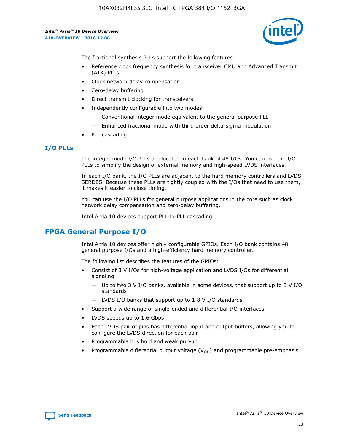

The fractional synthesis PLLs support the following features:

- Reference clock frequency synthesis for transceiver CMU and Advanced Transmit (ATX) PLLs
- Clock network delay compensation
- Zero-delay buffering
- Direct transmit clocking for transceivers
- Independently configurable into two modes:
	- Conventional integer mode equivalent to the general purpose PLL
	- Enhanced fractional mode with third order delta-sigma modulation
- PLL cascading

#### **I/O PLLs**

The integer mode I/O PLLs are located in each bank of 48 I/Os. You can use the I/O PLLs to simplify the design of external memory and high-speed LVDS interfaces.

In each I/O bank, the I/O PLLs are adjacent to the hard memory controllers and LVDS SERDES. Because these PLLs are tightly coupled with the I/Os that need to use them, it makes it easier to close timing.

You can use the I/O PLLs for general purpose applications in the core such as clock network delay compensation and zero-delay buffering.

Intel Arria 10 devices support PLL-to-PLL cascading.

# **FPGA General Purpose I/O**

Intel Arria 10 devices offer highly configurable GPIOs. Each I/O bank contains 48 general purpose I/Os and a high-efficiency hard memory controller.

The following list describes the features of the GPIOs:

- Consist of 3 V I/Os for high-voltage application and LVDS I/Os for differential signaling
	- Up to two 3 V I/O banks, available in some devices, that support up to 3 V I/O standards
	- LVDS I/O banks that support up to 1.8 V I/O standards
- Support a wide range of single-ended and differential I/O interfaces
- LVDS speeds up to 1.6 Gbps
- Each LVDS pair of pins has differential input and output buffers, allowing you to configure the LVDS direction for each pair.
- Programmable bus hold and weak pull-up
- Programmable differential output voltage  $(V_{OD})$  and programmable pre-emphasis

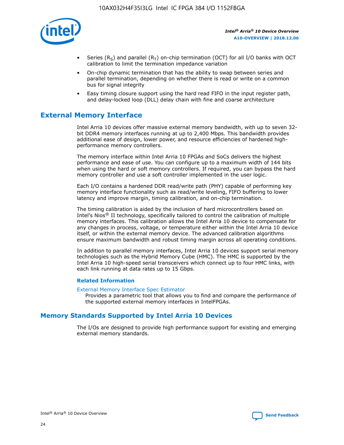

- Series (R<sub>S</sub>) and parallel (R<sub>T</sub>) on-chip termination (OCT) for all I/O banks with OCT calibration to limit the termination impedance variation
- On-chip dynamic termination that has the ability to swap between series and parallel termination, depending on whether there is read or write on a common bus for signal integrity
- Easy timing closure support using the hard read FIFO in the input register path, and delay-locked loop (DLL) delay chain with fine and coarse architecture

# **External Memory Interface**

Intel Arria 10 devices offer massive external memory bandwidth, with up to seven 32 bit DDR4 memory interfaces running at up to 2,400 Mbps. This bandwidth provides additional ease of design, lower power, and resource efficiencies of hardened highperformance memory controllers.

The memory interface within Intel Arria 10 FPGAs and SoCs delivers the highest performance and ease of use. You can configure up to a maximum width of 144 bits when using the hard or soft memory controllers. If required, you can bypass the hard memory controller and use a soft controller implemented in the user logic.

Each I/O contains a hardened DDR read/write path (PHY) capable of performing key memory interface functionality such as read/write leveling, FIFO buffering to lower latency and improve margin, timing calibration, and on-chip termination.

The timing calibration is aided by the inclusion of hard microcontrollers based on Intel's Nios® II technology, specifically tailored to control the calibration of multiple memory interfaces. This calibration allows the Intel Arria 10 device to compensate for any changes in process, voltage, or temperature either within the Intel Arria 10 device itself, or within the external memory device. The advanced calibration algorithms ensure maximum bandwidth and robust timing margin across all operating conditions.

In addition to parallel memory interfaces, Intel Arria 10 devices support serial memory technologies such as the Hybrid Memory Cube (HMC). The HMC is supported by the Intel Arria 10 high-speed serial transceivers which connect up to four HMC links, with each link running at data rates up to 15 Gbps.

#### **Related Information**

#### [External Memory Interface Spec Estimator](http://www.altera.com/technology/memory/estimator/mem-emif-index.html)

Provides a parametric tool that allows you to find and compare the performance of the supported external memory interfaces in IntelFPGAs.

# **Memory Standards Supported by Intel Arria 10 Devices**

The I/Os are designed to provide high performance support for existing and emerging external memory standards.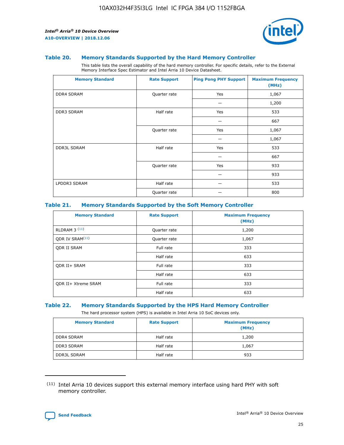

#### **Table 20. Memory Standards Supported by the Hard Memory Controller**

This table lists the overall capability of the hard memory controller. For specific details, refer to the External Memory Interface Spec Estimator and Intel Arria 10 Device Datasheet.

| <b>Memory Standard</b> | <b>Rate Support</b> | <b>Ping Pong PHY Support</b> | <b>Maximum Frequency</b><br>(MHz) |
|------------------------|---------------------|------------------------------|-----------------------------------|
| <b>DDR4 SDRAM</b>      | Quarter rate        | Yes                          | 1,067                             |
|                        |                     |                              | 1,200                             |
| DDR3 SDRAM             | Half rate           | Yes                          | 533                               |
|                        |                     |                              | 667                               |
|                        | Quarter rate        | Yes                          | 1,067                             |
|                        |                     |                              | 1,067                             |
| <b>DDR3L SDRAM</b>     | Half rate           | Yes                          | 533                               |
|                        |                     |                              | 667                               |
|                        | Quarter rate        | Yes                          | 933                               |
|                        |                     |                              | 933                               |
| LPDDR3 SDRAM           | Half rate           |                              | 533                               |
|                        | Quarter rate        |                              | 800                               |

#### **Table 21. Memory Standards Supported by the Soft Memory Controller**

| <b>Memory Standard</b>      | <b>Rate Support</b> | <b>Maximum Frequency</b><br>(MHz) |
|-----------------------------|---------------------|-----------------------------------|
| <b>RLDRAM 3 (11)</b>        | Quarter rate        | 1,200                             |
| ODR IV SRAM <sup>(11)</sup> | Quarter rate        | 1,067                             |
| <b>ODR II SRAM</b>          | Full rate           | 333                               |
|                             | Half rate           | 633                               |
| <b>ODR II+ SRAM</b>         | Full rate           | 333                               |
|                             | Half rate           | 633                               |
| <b>ODR II+ Xtreme SRAM</b>  | Full rate           | 333                               |
|                             | Half rate           | 633                               |

#### **Table 22. Memory Standards Supported by the HPS Hard Memory Controller**

The hard processor system (HPS) is available in Intel Arria 10 SoC devices only.

| <b>Memory Standard</b> | <b>Rate Support</b> | <b>Maximum Frequency</b><br>(MHz) |
|------------------------|---------------------|-----------------------------------|
| <b>DDR4 SDRAM</b>      | Half rate           | 1,200                             |
| <b>DDR3 SDRAM</b>      | Half rate           | 1,067                             |
| <b>DDR3L SDRAM</b>     | Half rate           | 933                               |

<sup>(11)</sup> Intel Arria 10 devices support this external memory interface using hard PHY with soft memory controller.

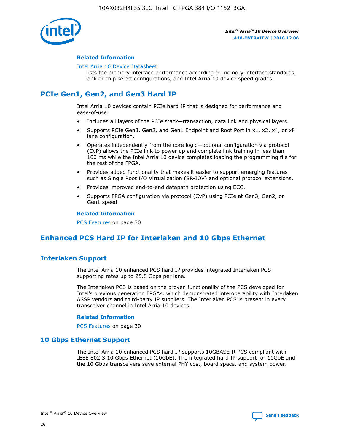

#### **Related Information**

#### [Intel Arria 10 Device Datasheet](https://www.intel.com/content/www/us/en/programmable/documentation/mcn1413182292568.html#mcn1413182153340)

Lists the memory interface performance according to memory interface standards, rank or chip select configurations, and Intel Arria 10 device speed grades.

# **PCIe Gen1, Gen2, and Gen3 Hard IP**

Intel Arria 10 devices contain PCIe hard IP that is designed for performance and ease-of-use:

- Includes all layers of the PCIe stack—transaction, data link and physical layers.
- Supports PCIe Gen3, Gen2, and Gen1 Endpoint and Root Port in x1, x2, x4, or x8 lane configuration.
- Operates independently from the core logic—optional configuration via protocol (CvP) allows the PCIe link to power up and complete link training in less than 100 ms while the Intel Arria 10 device completes loading the programming file for the rest of the FPGA.
- Provides added functionality that makes it easier to support emerging features such as Single Root I/O Virtualization (SR-IOV) and optional protocol extensions.
- Provides improved end-to-end datapath protection using ECC.
- Supports FPGA configuration via protocol (CvP) using PCIe at Gen3, Gen2, or Gen1 speed.

#### **Related Information**

PCS Features on page 30

# **Enhanced PCS Hard IP for Interlaken and 10 Gbps Ethernet**

# **Interlaken Support**

The Intel Arria 10 enhanced PCS hard IP provides integrated Interlaken PCS supporting rates up to 25.8 Gbps per lane.

The Interlaken PCS is based on the proven functionality of the PCS developed for Intel's previous generation FPGAs, which demonstrated interoperability with Interlaken ASSP vendors and third-party IP suppliers. The Interlaken PCS is present in every transceiver channel in Intel Arria 10 devices.

#### **Related Information**

PCS Features on page 30

#### **10 Gbps Ethernet Support**

The Intel Arria 10 enhanced PCS hard IP supports 10GBASE-R PCS compliant with IEEE 802.3 10 Gbps Ethernet (10GbE). The integrated hard IP support for 10GbE and the 10 Gbps transceivers save external PHY cost, board space, and system power.

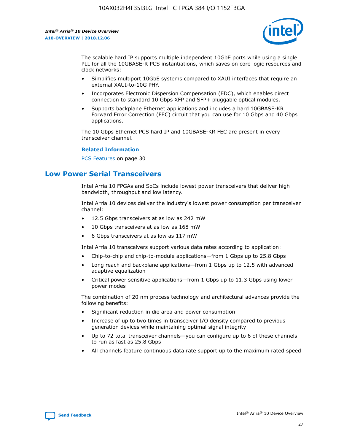

The scalable hard IP supports multiple independent 10GbE ports while using a single PLL for all the 10GBASE-R PCS instantiations, which saves on core logic resources and clock networks:

- Simplifies multiport 10GbE systems compared to XAUI interfaces that require an external XAUI-to-10G PHY.
- Incorporates Electronic Dispersion Compensation (EDC), which enables direct connection to standard 10 Gbps XFP and SFP+ pluggable optical modules.
- Supports backplane Ethernet applications and includes a hard 10GBASE-KR Forward Error Correction (FEC) circuit that you can use for 10 Gbps and 40 Gbps applications.

The 10 Gbps Ethernet PCS hard IP and 10GBASE-KR FEC are present in every transceiver channel.

#### **Related Information**

PCS Features on page 30

# **Low Power Serial Transceivers**

Intel Arria 10 FPGAs and SoCs include lowest power transceivers that deliver high bandwidth, throughput and low latency.

Intel Arria 10 devices deliver the industry's lowest power consumption per transceiver channel:

- 12.5 Gbps transceivers at as low as 242 mW
- 10 Gbps transceivers at as low as 168 mW
- 6 Gbps transceivers at as low as 117 mW

Intel Arria 10 transceivers support various data rates according to application:

- Chip-to-chip and chip-to-module applications—from 1 Gbps up to 25.8 Gbps
- Long reach and backplane applications—from 1 Gbps up to 12.5 with advanced adaptive equalization
- Critical power sensitive applications—from 1 Gbps up to 11.3 Gbps using lower power modes

The combination of 20 nm process technology and architectural advances provide the following benefits:

- Significant reduction in die area and power consumption
- Increase of up to two times in transceiver I/O density compared to previous generation devices while maintaining optimal signal integrity
- Up to 72 total transceiver channels—you can configure up to 6 of these channels to run as fast as 25.8 Gbps
- All channels feature continuous data rate support up to the maximum rated speed

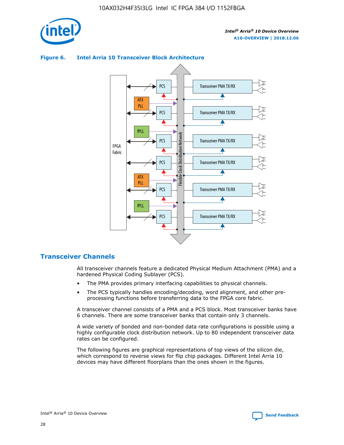

# **Figure 6. Intel Arria 10 Transceiver Block Architecture**



# **Transceiver Channels**

All transceiver channels feature a dedicated Physical Medium Attachment (PMA) and a hardened Physical Coding Sublayer (PCS).

- The PMA provides primary interfacing capabilities to physical channels.
- The PCS typically handles encoding/decoding, word alignment, and other preprocessing functions before transferring data to the FPGA core fabric.

A transceiver channel consists of a PMA and a PCS block. Most transceiver banks have 6 channels. There are some transceiver banks that contain only 3 channels.

A wide variety of bonded and non-bonded data rate configurations is possible using a highly configurable clock distribution network. Up to 80 independent transceiver data rates can be configured.

The following figures are graphical representations of top views of the silicon die, which correspond to reverse views for flip chip packages. Different Intel Arria 10 devices may have different floorplans than the ones shown in the figures.

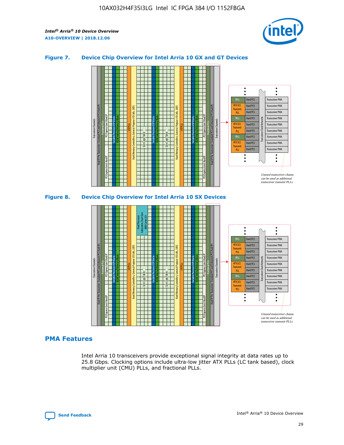

#### **Figure 7. Device Chip Overview for Intel Arria 10 GX and GT Devices**



#### M20K Internal Memory Blocks Core Logic Fabric Transceiver Channels Hard IP Per Transceiver: Standard PCS and Enhanced PCS Hard IPs PCI Express Gen3 Hard IP Fractional PLLs M20K Internal Memory Blocks PCI Express Gen3 Hard IP Variable Precision DSP Blocks I/O PLLs Hard Memory Controllers, General-Purpose I/O Cells, LVDS Hard Processor Subsystem, Dual-Core ARM Cortex A9 M20K Internal Memory Blocks Variable Precision DSP Blocks M20K Internal Memory Blocks Core Logic Fabric I/O PLLs Hard Memory Controllers, General-Purpose I/O Cells, LVDS M20K Internal Memory Blocks Variable Precision DSP Blocks M20K Internal Memory Blocks Transceiver Channels Hard IP Per Transceiver: Standard PCS and Enhanced PCS Hard IPs PCI Express Gen3 Hard IP Fractional PLLs PCI Express Gen3 Hard IP Hard PCS Hard PCS Hard PCS Hard PCS Hard PCS Hard PCS Hard PCS Transceiver PMA Transceiver PMA Transceiver PMA Transceiver PMA Transceiver PMA Unused transceiver chann can be used as additional transceiver transmit PLLs Transceiver PMA Transceiver PMA Transceiver Clock Networks PLL fPLL ATX (LC) Transmi PLL fPLL ATX (LC) **Transmit** PLL

#### **PMA Features**

Intel Arria 10 transceivers provide exceptional signal integrity at data rates up to 25.8 Gbps. Clocking options include ultra-low jitter ATX PLLs (LC tank based), clock multiplier unit (CMU) PLLs, and fractional PLLs.

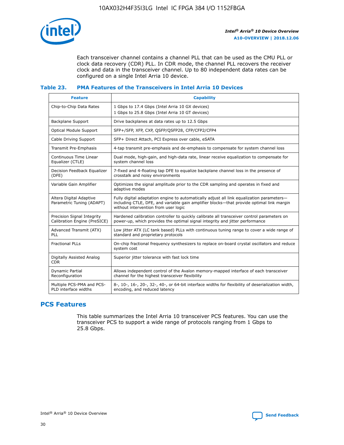

Each transceiver channel contains a channel PLL that can be used as the CMU PLL or clock data recovery (CDR) PLL. In CDR mode, the channel PLL recovers the receiver clock and data in the transceiver channel. Up to 80 independent data rates can be configured on a single Intel Arria 10 device.

#### **Table 23. PMA Features of the Transceivers in Intel Arria 10 Devices**

| <b>Feature</b>                                             | <b>Capability</b>                                                                                                                                                                                                             |
|------------------------------------------------------------|-------------------------------------------------------------------------------------------------------------------------------------------------------------------------------------------------------------------------------|
| Chip-to-Chip Data Rates                                    | 1 Gbps to 17.4 Gbps (Intel Arria 10 GX devices)<br>1 Gbps to 25.8 Gbps (Intel Arria 10 GT devices)                                                                                                                            |
| Backplane Support                                          | Drive backplanes at data rates up to 12.5 Gbps                                                                                                                                                                                |
| Optical Module Support                                     | SFP+/SFP, XFP, CXP, QSFP/QSFP28, CFP/CFP2/CFP4                                                                                                                                                                                |
| Cable Driving Support                                      | SFP+ Direct Attach, PCI Express over cable, eSATA                                                                                                                                                                             |
| Transmit Pre-Emphasis                                      | 4-tap transmit pre-emphasis and de-emphasis to compensate for system channel loss                                                                                                                                             |
| Continuous Time Linear<br>Equalizer (CTLE)                 | Dual mode, high-gain, and high-data rate, linear receive equalization to compensate for<br>system channel loss                                                                                                                |
| Decision Feedback Equalizer<br>(DFE)                       | 7-fixed and 4-floating tap DFE to equalize backplane channel loss in the presence of<br>crosstalk and noisy environments                                                                                                      |
| Variable Gain Amplifier                                    | Optimizes the signal amplitude prior to the CDR sampling and operates in fixed and<br>adaptive modes                                                                                                                          |
| Altera Digital Adaptive<br>Parametric Tuning (ADAPT)       | Fully digital adaptation engine to automatically adjust all link equalization parameters-<br>including CTLE, DFE, and variable gain amplifier blocks—that provide optimal link margin<br>without intervention from user logic |
| Precision Signal Integrity<br>Calibration Engine (PreSICE) | Hardened calibration controller to quickly calibrate all transceiver control parameters on<br>power-up, which provides the optimal signal integrity and jitter performance                                                    |
| Advanced Transmit (ATX)<br><b>PLL</b>                      | Low jitter ATX (LC tank based) PLLs with continuous tuning range to cover a wide range of<br>standard and proprietary protocols                                                                                               |
| <b>Fractional PLLs</b>                                     | On-chip fractional frequency synthesizers to replace on-board crystal oscillators and reduce<br>system cost                                                                                                                   |
| Digitally Assisted Analog<br><b>CDR</b>                    | Superior jitter tolerance with fast lock time                                                                                                                                                                                 |
| Dynamic Partial<br>Reconfiguration                         | Allows independent control of the Avalon memory-mapped interface of each transceiver<br>channel for the highest transceiver flexibility                                                                                       |
| Multiple PCS-PMA and PCS-<br>PLD interface widths          | 8-, 10-, 16-, 20-, 32-, 40-, or 64-bit interface widths for flexibility of deserialization width,<br>encoding, and reduced latency                                                                                            |

# **PCS Features**

This table summarizes the Intel Arria 10 transceiver PCS features. You can use the transceiver PCS to support a wide range of protocols ranging from 1 Gbps to 25.8 Gbps.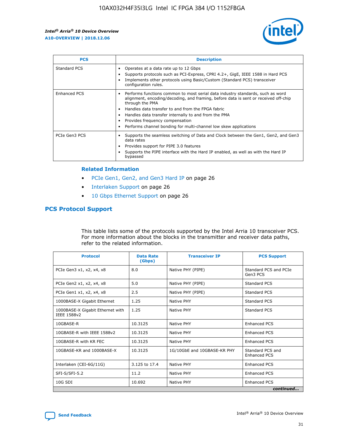

| <b>PCS</b>    | <b>Description</b>                                                                                                                                                                                                                                                                                                                                                                                             |
|---------------|----------------------------------------------------------------------------------------------------------------------------------------------------------------------------------------------------------------------------------------------------------------------------------------------------------------------------------------------------------------------------------------------------------------|
| Standard PCS  | Operates at a data rate up to 12 Gbps<br>Supports protocols such as PCI-Express, CPRI 4.2+, GigE, IEEE 1588 in Hard PCS<br>Implements other protocols using Basic/Custom (Standard PCS) transceiver<br>configuration rules.                                                                                                                                                                                    |
| Enhanced PCS  | Performs functions common to most serial data industry standards, such as word<br>alignment, encoding/decoding, and framing, before data is sent or received off-chip<br>through the PMA<br>• Handles data transfer to and from the FPGA fabric<br>Handles data transfer internally to and from the PMA<br>Provides frequency compensation<br>Performs channel bonding for multi-channel low skew applications |
| PCIe Gen3 PCS | Supports the seamless switching of Data and Clock between the Gen1, Gen2, and Gen3<br>data rates<br>Provides support for PIPE 3.0 features<br>Supports the PIPE interface with the Hard IP enabled, as well as with the Hard IP<br>bypassed                                                                                                                                                                    |

#### **Related Information**

- PCIe Gen1, Gen2, and Gen3 Hard IP on page 26
- Interlaken Support on page 26
- 10 Gbps Ethernet Support on page 26

#### **PCS Protocol Support**

This table lists some of the protocols supported by the Intel Arria 10 transceiver PCS. For more information about the blocks in the transmitter and receiver data paths, refer to the related information.

| <b>Protocol</b>                                 | <b>Data Rate</b><br>(Gbps) | <b>Transceiver IP</b>       | <b>PCS Support</b>                      |
|-------------------------------------------------|----------------------------|-----------------------------|-----------------------------------------|
| PCIe Gen3 x1, x2, x4, x8                        | 8.0                        | Native PHY (PIPE)           | Standard PCS and PCIe<br>Gen3 PCS       |
| PCIe Gen2 x1, x2, x4, x8                        | 5.0                        | Native PHY (PIPE)           | <b>Standard PCS</b>                     |
| PCIe Gen1 x1, x2, x4, x8                        | 2.5                        | Native PHY (PIPE)           | Standard PCS                            |
| 1000BASE-X Gigabit Ethernet                     | 1.25                       | Native PHY                  | <b>Standard PCS</b>                     |
| 1000BASE-X Gigabit Ethernet with<br>IEEE 1588v2 | 1.25                       | Native PHY                  | Standard PCS                            |
| 10GBASE-R                                       | 10.3125                    | Native PHY                  | <b>Enhanced PCS</b>                     |
| 10GBASE-R with IEEE 1588v2                      | 10.3125                    | Native PHY                  | <b>Enhanced PCS</b>                     |
| 10GBASE-R with KR FEC                           | 10.3125                    | Native PHY                  | <b>Enhanced PCS</b>                     |
| 10GBASE-KR and 1000BASE-X                       | 10.3125                    | 1G/10GbE and 10GBASE-KR PHY | Standard PCS and<br><b>Enhanced PCS</b> |
| Interlaken (CEI-6G/11G)                         | 3.125 to 17.4              | Native PHY                  | <b>Enhanced PCS</b>                     |
| SFI-S/SFI-5.2                                   | 11.2                       | Native PHY                  | <b>Enhanced PCS</b>                     |
| $10G$ SDI                                       | 10.692                     | Native PHY                  | <b>Enhanced PCS</b>                     |
|                                                 |                            |                             | continued                               |

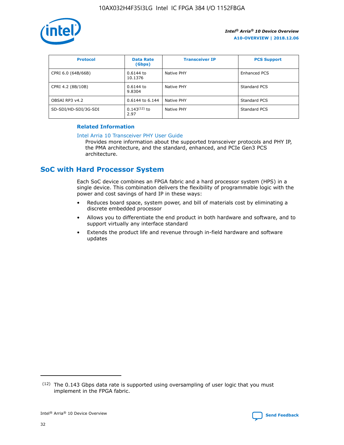

| <b>Protocol</b>      | <b>Data Rate</b><br>(Gbps) | <b>Transceiver IP</b> | <b>PCS Support</b> |
|----------------------|----------------------------|-----------------------|--------------------|
| CPRI 6.0 (64B/66B)   | 0.6144 to<br>10.1376       | Native PHY            | Enhanced PCS       |
| CPRI 4.2 (8B/10B)    | 0.6144 to<br>9.8304        | Native PHY            | Standard PCS       |
| OBSAI RP3 v4.2       | 0.6144 to 6.144            | Native PHY            | Standard PCS       |
| SD-SDI/HD-SDI/3G-SDI | $0.143(12)$ to<br>2.97     | Native PHY            | Standard PCS       |

#### **Related Information**

#### [Intel Arria 10 Transceiver PHY User Guide](https://www.intel.com/content/www/us/en/programmable/documentation/nik1398707230472.html#nik1398707091164)

Provides more information about the supported transceiver protocols and PHY IP, the PMA architecture, and the standard, enhanced, and PCIe Gen3 PCS architecture.

# **SoC with Hard Processor System**

Each SoC device combines an FPGA fabric and a hard processor system (HPS) in a single device. This combination delivers the flexibility of programmable logic with the power and cost savings of hard IP in these ways:

- Reduces board space, system power, and bill of materials cost by eliminating a discrete embedded processor
- Allows you to differentiate the end product in both hardware and software, and to support virtually any interface standard
- Extends the product life and revenue through in-field hardware and software updates

 $(12)$  The 0.143 Gbps data rate is supported using oversampling of user logic that you must implement in the FPGA fabric.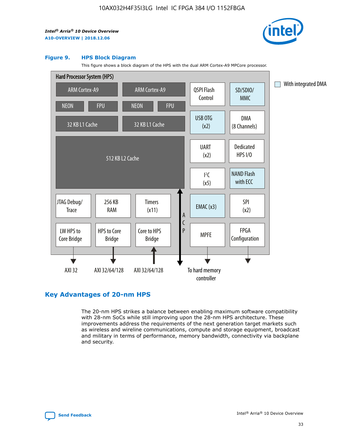

#### **Figure 9. HPS Block Diagram**

This figure shows a block diagram of the HPS with the dual ARM Cortex-A9 MPCore processor.



#### **Key Advantages of 20-nm HPS**

The 20-nm HPS strikes a balance between enabling maximum software compatibility with 28-nm SoCs while still improving upon the 28-nm HPS architecture. These improvements address the requirements of the next generation target markets such as wireless and wireline communications, compute and storage equipment, broadcast and military in terms of performance, memory bandwidth, connectivity via backplane and security.

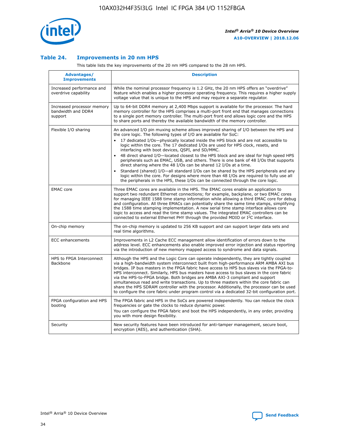

#### **Table 24. Improvements in 20 nm HPS**

This table lists the key improvements of the 20 nm HPS compared to the 28 nm HPS.

| Advantages/<br><b>Improvements</b>                          | <b>Description</b>                                                                                                                                                                                                                                                                                                                                                                                                                                                                                                                                                                                                                                                                                                                                                                                                                                                                                                      |
|-------------------------------------------------------------|-------------------------------------------------------------------------------------------------------------------------------------------------------------------------------------------------------------------------------------------------------------------------------------------------------------------------------------------------------------------------------------------------------------------------------------------------------------------------------------------------------------------------------------------------------------------------------------------------------------------------------------------------------------------------------------------------------------------------------------------------------------------------------------------------------------------------------------------------------------------------------------------------------------------------|
| Increased performance and<br>overdrive capability           | While the nominal processor frequency is 1.2 GHz, the 20 nm HPS offers an "overdrive"<br>feature which enables a higher processor operating frequency. This requires a higher supply<br>voltage value that is unique to the HPS and may require a separate regulator.                                                                                                                                                                                                                                                                                                                                                                                                                                                                                                                                                                                                                                                   |
| Increased processor memory<br>bandwidth and DDR4<br>support | Up to 64-bit DDR4 memory at 2,400 Mbps support is available for the processor. The hard<br>memory controller for the HPS comprises a multi-port front end that manages connections<br>to a single port memory controller. The multi-port front end allows logic core and the HPS<br>to share ports and thereby the available bandwidth of the memory controller.                                                                                                                                                                                                                                                                                                                                                                                                                                                                                                                                                        |
| Flexible I/O sharing                                        | An advanced I/O pin muxing scheme allows improved sharing of I/O between the HPS and<br>the core logic. The following types of I/O are available for SoC:<br>17 dedicated I/Os-physically located inside the HPS block and are not accessible to<br>logic within the core. The 17 dedicated I/Os are used for HPS clock, resets, and<br>interfacing with boot devices, QSPI, and SD/MMC.<br>48 direct shared I/O-located closest to the HPS block and are ideal for high speed HPS<br>peripherals such as EMAC, USB, and others. There is one bank of 48 I/Os that supports<br>direct sharing where the 48 I/Os can be shared 12 I/Os at a time.<br>Standard (shared) I/O-all standard I/Os can be shared by the HPS peripherals and any<br>logic within the core. For designs where more than 48 I/Os are reguired to fully use all<br>the peripherals in the HPS, these I/Os can be connected through the core logic. |
| <b>EMAC</b> core                                            | Three EMAC cores are available in the HPS. The EMAC cores enable an application to<br>support two redundant Ethernet connections; for example, backplane, or two EMAC cores<br>for managing IEEE 1588 time stamp information while allowing a third EMAC core for debug<br>and configuration. All three EMACs can potentially share the same time stamps, simplifying<br>the 1588 time stamping implementation. A new serial time stamp interface allows core<br>logic to access and read the time stamp values. The integrated EMAC controllers can be<br>connected to external Ethernet PHY through the provided MDIO or I <sup>2</sup> C interface.                                                                                                                                                                                                                                                                  |
| On-chip memory                                              | The on-chip memory is updated to 256 KB support and can support larger data sets and<br>real time algorithms.                                                                                                                                                                                                                                                                                                                                                                                                                                                                                                                                                                                                                                                                                                                                                                                                           |
| <b>ECC</b> enhancements                                     | Improvements in L2 Cache ECC management allow identification of errors down to the<br>address level. ECC enhancements also enable improved error injection and status reporting<br>via the introduction of new memory mapped access to syndrome and data signals.                                                                                                                                                                                                                                                                                                                                                                                                                                                                                                                                                                                                                                                       |
| HPS to FPGA Interconnect<br>Backbone                        | Although the HPS and the Logic Core can operate independently, they are tightly coupled<br>via a high-bandwidth system interconnect built from high-performance ARM AMBA AXI bus<br>bridges. IP bus masters in the FPGA fabric have access to HPS bus slaves via the FPGA-to-<br>HPS interconnect. Similarly, HPS bus masters have access to bus slaves in the core fabric<br>via the HPS-to-FPGA bridge. Both bridges are AMBA AXI-3 compliant and support<br>simultaneous read and write transactions. Up to three masters within the core fabric can<br>share the HPS SDRAM controller with the processor. Additionally, the processor can be used<br>to configure the core fabric under program control via a dedicated 32-bit configuration port.                                                                                                                                                                  |
| FPGA configuration and HPS<br>booting                       | The FPGA fabric and HPS in the SoCs are powered independently. You can reduce the clock<br>frequencies or gate the clocks to reduce dynamic power.<br>You can configure the FPGA fabric and boot the HPS independently, in any order, providing<br>you with more design flexibility.                                                                                                                                                                                                                                                                                                                                                                                                                                                                                                                                                                                                                                    |
| Security                                                    | New security features have been introduced for anti-tamper management, secure boot,<br>encryption (AES), and authentication (SHA).                                                                                                                                                                                                                                                                                                                                                                                                                                                                                                                                                                                                                                                                                                                                                                                      |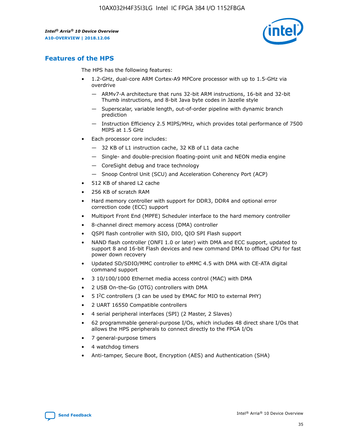

# **Features of the HPS**

The HPS has the following features:

- 1.2-GHz, dual-core ARM Cortex-A9 MPCore processor with up to 1.5-GHz via overdrive
	- ARMv7-A architecture that runs 32-bit ARM instructions, 16-bit and 32-bit Thumb instructions, and 8-bit Java byte codes in Jazelle style
	- Superscalar, variable length, out-of-order pipeline with dynamic branch prediction
	- Instruction Efficiency 2.5 MIPS/MHz, which provides total performance of 7500 MIPS at 1.5 GHz
- Each processor core includes:
	- 32 KB of L1 instruction cache, 32 KB of L1 data cache
	- Single- and double-precision floating-point unit and NEON media engine
	- CoreSight debug and trace technology
	- Snoop Control Unit (SCU) and Acceleration Coherency Port (ACP)
- 512 KB of shared L2 cache
- 256 KB of scratch RAM
- Hard memory controller with support for DDR3, DDR4 and optional error correction code (ECC) support
- Multiport Front End (MPFE) Scheduler interface to the hard memory controller
- 8-channel direct memory access (DMA) controller
- QSPI flash controller with SIO, DIO, QIO SPI Flash support
- NAND flash controller (ONFI 1.0 or later) with DMA and ECC support, updated to support 8 and 16-bit Flash devices and new command DMA to offload CPU for fast power down recovery
- Updated SD/SDIO/MMC controller to eMMC 4.5 with DMA with CE-ATA digital command support
- 3 10/100/1000 Ethernet media access control (MAC) with DMA
- 2 USB On-the-Go (OTG) controllers with DMA
- $\bullet$  5 I<sup>2</sup>C controllers (3 can be used by EMAC for MIO to external PHY)
- 2 UART 16550 Compatible controllers
- 4 serial peripheral interfaces (SPI) (2 Master, 2 Slaves)
- 62 programmable general-purpose I/Os, which includes 48 direct share I/Os that allows the HPS peripherals to connect directly to the FPGA I/Os
- 7 general-purpose timers
- 4 watchdog timers
- Anti-tamper, Secure Boot, Encryption (AES) and Authentication (SHA)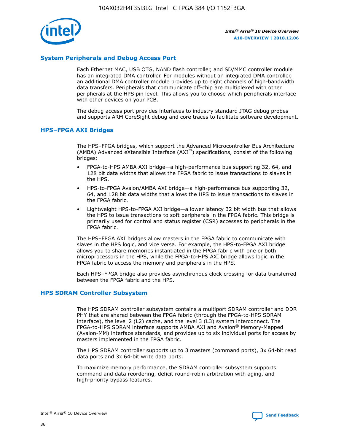

#### **System Peripherals and Debug Access Port**

Each Ethernet MAC, USB OTG, NAND flash controller, and SD/MMC controller module has an integrated DMA controller. For modules without an integrated DMA controller, an additional DMA controller module provides up to eight channels of high-bandwidth data transfers. Peripherals that communicate off-chip are multiplexed with other peripherals at the HPS pin level. This allows you to choose which peripherals interface with other devices on your PCB.

The debug access port provides interfaces to industry standard JTAG debug probes and supports ARM CoreSight debug and core traces to facilitate software development.

#### **HPS–FPGA AXI Bridges**

The HPS–FPGA bridges, which support the Advanced Microcontroller Bus Architecture (AMBA) Advanced eXtensible Interface (AXI™) specifications, consist of the following bridges:

- FPGA-to-HPS AMBA AXI bridge—a high-performance bus supporting 32, 64, and 128 bit data widths that allows the FPGA fabric to issue transactions to slaves in the HPS.
- HPS-to-FPGA Avalon/AMBA AXI bridge—a high-performance bus supporting 32, 64, and 128 bit data widths that allows the HPS to issue transactions to slaves in the FPGA fabric.
- Lightweight HPS-to-FPGA AXI bridge—a lower latency 32 bit width bus that allows the HPS to issue transactions to soft peripherals in the FPGA fabric. This bridge is primarily used for control and status register (CSR) accesses to peripherals in the FPGA fabric.

The HPS–FPGA AXI bridges allow masters in the FPGA fabric to communicate with slaves in the HPS logic, and vice versa. For example, the HPS-to-FPGA AXI bridge allows you to share memories instantiated in the FPGA fabric with one or both microprocessors in the HPS, while the FPGA-to-HPS AXI bridge allows logic in the FPGA fabric to access the memory and peripherals in the HPS.

Each HPS–FPGA bridge also provides asynchronous clock crossing for data transferred between the FPGA fabric and the HPS.

#### **HPS SDRAM Controller Subsystem**

The HPS SDRAM controller subsystem contains a multiport SDRAM controller and DDR PHY that are shared between the FPGA fabric (through the FPGA-to-HPS SDRAM interface), the level 2 (L2) cache, and the level 3 (L3) system interconnect. The FPGA-to-HPS SDRAM interface supports AMBA AXI and Avalon® Memory-Mapped (Avalon-MM) interface standards, and provides up to six individual ports for access by masters implemented in the FPGA fabric.

The HPS SDRAM controller supports up to 3 masters (command ports), 3x 64-bit read data ports and 3x 64-bit write data ports.

To maximize memory performance, the SDRAM controller subsystem supports command and data reordering, deficit round-robin arbitration with aging, and high-priority bypass features.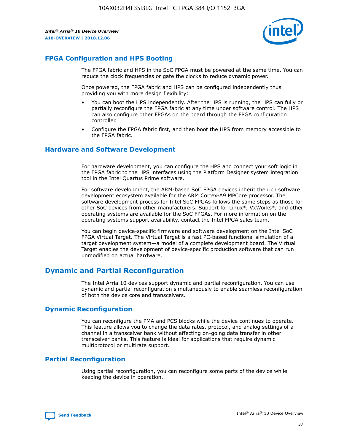

# **FPGA Configuration and HPS Booting**

The FPGA fabric and HPS in the SoC FPGA must be powered at the same time. You can reduce the clock frequencies or gate the clocks to reduce dynamic power.

Once powered, the FPGA fabric and HPS can be configured independently thus providing you with more design flexibility:

- You can boot the HPS independently. After the HPS is running, the HPS can fully or partially reconfigure the FPGA fabric at any time under software control. The HPS can also configure other FPGAs on the board through the FPGA configuration controller.
- Configure the FPGA fabric first, and then boot the HPS from memory accessible to the FPGA fabric.

#### **Hardware and Software Development**

For hardware development, you can configure the HPS and connect your soft logic in the FPGA fabric to the HPS interfaces using the Platform Designer system integration tool in the Intel Quartus Prime software.

For software development, the ARM-based SoC FPGA devices inherit the rich software development ecosystem available for the ARM Cortex-A9 MPCore processor. The software development process for Intel SoC FPGAs follows the same steps as those for other SoC devices from other manufacturers. Support for Linux\*, VxWorks\*, and other operating systems are available for the SoC FPGAs. For more information on the operating systems support availability, contact the Intel FPGA sales team.

You can begin device-specific firmware and software development on the Intel SoC FPGA Virtual Target. The Virtual Target is a fast PC-based functional simulation of a target development system—a model of a complete development board. The Virtual Target enables the development of device-specific production software that can run unmodified on actual hardware.

# **Dynamic and Partial Reconfiguration**

The Intel Arria 10 devices support dynamic and partial reconfiguration. You can use dynamic and partial reconfiguration simultaneously to enable seamless reconfiguration of both the device core and transceivers.

#### **Dynamic Reconfiguration**

You can reconfigure the PMA and PCS blocks while the device continues to operate. This feature allows you to change the data rates, protocol, and analog settings of a channel in a transceiver bank without affecting on-going data transfer in other transceiver banks. This feature is ideal for applications that require dynamic multiprotocol or multirate support.

# **Partial Reconfiguration**

Using partial reconfiguration, you can reconfigure some parts of the device while keeping the device in operation.

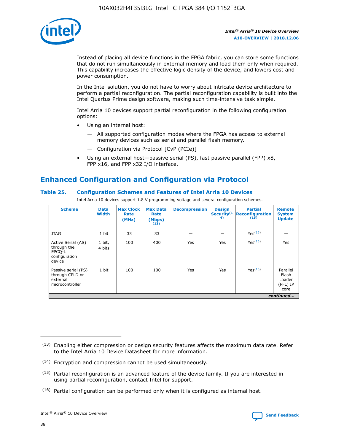

Instead of placing all device functions in the FPGA fabric, you can store some functions that do not run simultaneously in external memory and load them only when required. This capability increases the effective logic density of the device, and lowers cost and power consumption.

In the Intel solution, you do not have to worry about intricate device architecture to perform a partial reconfiguration. The partial reconfiguration capability is built into the Intel Quartus Prime design software, making such time-intensive task simple.

Intel Arria 10 devices support partial reconfiguration in the following configuration options:

- Using an internal host:
	- All supported configuration modes where the FPGA has access to external memory devices such as serial and parallel flash memory.
	- Configuration via Protocol [CvP (PCIe)]
- Using an external host—passive serial (PS), fast passive parallel (FPP) x8, FPP x16, and FPP x32 I/O interface.

# **Enhanced Configuration and Configuration via Protocol**

#### **Table 25. Configuration Schemes and Features of Intel Arria 10 Devices**

Intel Arria 10 devices support 1.8 V programming voltage and several configuration schemes.

| <b>Scheme</b>                                                          | <b>Data</b><br><b>Width</b> | <b>Max Clock</b><br>Rate<br>(MHz) | <b>Max Data</b><br>Rate<br>(Mbps)<br>(13) | <b>Decompression</b> | <b>Design</b><br>Security <sup>(1</sup><br>4) | <b>Partial</b><br><b>Reconfiguration</b><br>(15) | <b>Remote</b><br><b>System</b><br><b>Update</b> |
|------------------------------------------------------------------------|-----------------------------|-----------------------------------|-------------------------------------------|----------------------|-----------------------------------------------|--------------------------------------------------|-------------------------------------------------|
| <b>JTAG</b>                                                            | 1 bit                       | 33                                | 33                                        |                      |                                               | Yes(16)                                          |                                                 |
| Active Serial (AS)<br>through the<br>EPCO-L<br>configuration<br>device | 1 bit,<br>4 bits            | 100                               | 400                                       | Yes                  | Yes                                           | Yes(16)                                          | Yes                                             |
| Passive serial (PS)<br>through CPLD or<br>external<br>microcontroller  | 1 bit                       | 100                               | 100                                       | Yes                  | Yes                                           | Yes <sup>(16)</sup>                              | Parallel<br>Flash<br>Loader<br>(PFL) IP<br>core |
|                                                                        |                             |                                   |                                           |                      |                                               |                                                  | continued                                       |

<sup>(13)</sup> Enabling either compression or design security features affects the maximum data rate. Refer to the Intel Arria 10 Device Datasheet for more information.

<sup>(14)</sup> Encryption and compression cannot be used simultaneously.

 $(15)$  Partial reconfiguration is an advanced feature of the device family. If you are interested in using partial reconfiguration, contact Intel for support.

 $(16)$  Partial configuration can be performed only when it is configured as internal host.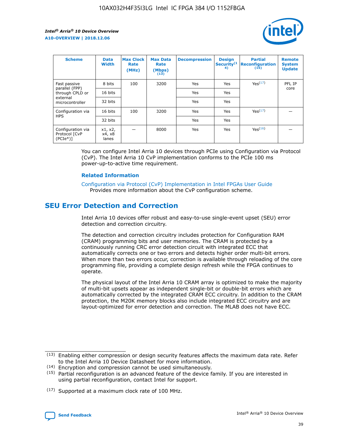

| <b>Scheme</b>                                   | <b>Data</b><br><b>Width</b> | <b>Max Clock</b><br>Rate<br>(MHz) | <b>Max Data</b><br>Rate<br>(Mbps)<br>(13) | <b>Decompression</b> | <b>Design</b><br>Security <sup>(1</sup><br>4) | <b>Partial</b><br><b>Reconfiguration</b><br>(15) | <b>Remote</b><br><b>System</b><br><b>Update</b> |
|-------------------------------------------------|-----------------------------|-----------------------------------|-------------------------------------------|----------------------|-----------------------------------------------|--------------------------------------------------|-------------------------------------------------|
| Fast passive                                    | 8 bits                      | 100                               | 3200                                      | Yes                  | Yes                                           | Yes <sup>(17)</sup>                              | PFL IP                                          |
| parallel (FPP)<br>through CPLD or               | 16 bits                     |                                   |                                           | Yes                  | Yes                                           |                                                  | core                                            |
| external<br>microcontroller                     | 32 bits                     |                                   |                                           | Yes                  | Yes                                           |                                                  |                                                 |
| Configuration via                               | 16 bits                     | 100                               | 3200                                      | Yes                  | Yes                                           | Yes <sup>(17)</sup>                              |                                                 |
| <b>HPS</b>                                      | 32 bits                     |                                   |                                           | Yes                  | Yes                                           |                                                  |                                                 |
| Configuration via<br>Protocol [CvP<br>$(PCIe*)$ | x1, x2,<br>x4, x8<br>lanes  |                                   | 8000                                      | Yes                  | Yes                                           | Yes <sup>(16)</sup>                              |                                                 |

You can configure Intel Arria 10 devices through PCIe using Configuration via Protocol (CvP). The Intel Arria 10 CvP implementation conforms to the PCIe 100 ms power-up-to-active time requirement.

#### **Related Information**

[Configuration via Protocol \(CvP\) Implementation in Intel FPGAs User Guide](https://www.intel.com/content/www/us/en/programmable/documentation/dsu1441819344145.html#dsu1442269728522) Provides more information about the CvP configuration scheme.

# **SEU Error Detection and Correction**

Intel Arria 10 devices offer robust and easy-to-use single-event upset (SEU) error detection and correction circuitry.

The detection and correction circuitry includes protection for Configuration RAM (CRAM) programming bits and user memories. The CRAM is protected by a continuously running CRC error detection circuit with integrated ECC that automatically corrects one or two errors and detects higher order multi-bit errors. When more than two errors occur, correction is available through reloading of the core programming file, providing a complete design refresh while the FPGA continues to operate.

The physical layout of the Intel Arria 10 CRAM array is optimized to make the majority of multi-bit upsets appear as independent single-bit or double-bit errors which are automatically corrected by the integrated CRAM ECC circuitry. In addition to the CRAM protection, the M20K memory blocks also include integrated ECC circuitry and are layout-optimized for error detection and correction. The MLAB does not have ECC.

(14) Encryption and compression cannot be used simultaneously.

<sup>(17)</sup> Supported at a maximum clock rate of 100 MHz.



 $(13)$  Enabling either compression or design security features affects the maximum data rate. Refer to the Intel Arria 10 Device Datasheet for more information.

 $(15)$  Partial reconfiguration is an advanced feature of the device family. If you are interested in using partial reconfiguration, contact Intel for support.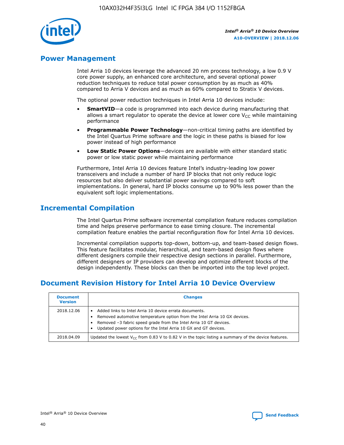

# **Power Management**

Intel Arria 10 devices leverage the advanced 20 nm process technology, a low 0.9 V core power supply, an enhanced core architecture, and several optional power reduction techniques to reduce total power consumption by as much as 40% compared to Arria V devices and as much as 60% compared to Stratix V devices.

The optional power reduction techniques in Intel Arria 10 devices include:

- **SmartVID**—a code is programmed into each device during manufacturing that allows a smart regulator to operate the device at lower core  $V_{CC}$  while maintaining performance
- **Programmable Power Technology**—non-critical timing paths are identified by the Intel Quartus Prime software and the logic in these paths is biased for low power instead of high performance
- **Low Static Power Options**—devices are available with either standard static power or low static power while maintaining performance

Furthermore, Intel Arria 10 devices feature Intel's industry-leading low power transceivers and include a number of hard IP blocks that not only reduce logic resources but also deliver substantial power savings compared to soft implementations. In general, hard IP blocks consume up to 90% less power than the equivalent soft logic implementations.

# **Incremental Compilation**

The Intel Quartus Prime software incremental compilation feature reduces compilation time and helps preserve performance to ease timing closure. The incremental compilation feature enables the partial reconfiguration flow for Intel Arria 10 devices.

Incremental compilation supports top-down, bottom-up, and team-based design flows. This feature facilitates modular, hierarchical, and team-based design flows where different designers compile their respective design sections in parallel. Furthermore, different designers or IP providers can develop and optimize different blocks of the design independently. These blocks can then be imported into the top level project.

# **Document Revision History for Intel Arria 10 Device Overview**

| <b>Document</b><br><b>Version</b> | <b>Changes</b>                                                                                                                                                                                                                                                              |
|-----------------------------------|-----------------------------------------------------------------------------------------------------------------------------------------------------------------------------------------------------------------------------------------------------------------------------|
| 2018.12.06                        | Added links to Intel Arria 10 device errata documents.<br>Removed automotive temperature option from the Intel Arria 10 GX devices.<br>Removed -3 fabric speed grade from the Intel Arria 10 GT devices.<br>Updated power options for the Intel Arria 10 GX and GT devices. |
| 2018.04.09                        | Updated the lowest $V_{CC}$ from 0.83 V to 0.82 V in the topic listing a summary of the device features.                                                                                                                                                                    |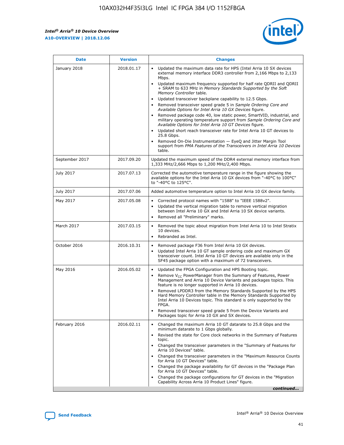*Intel® Arria® 10 Device Overview* **A10-OVERVIEW | 2018.12.06**



| <b>Date</b>    | <b>Version</b> | <b>Changes</b>                                                                                                                                                                                                                                                                                                                                                                                                                                                                                                                                                                                                                                                                                                                                                                                                                                                                                                                                                            |
|----------------|----------------|---------------------------------------------------------------------------------------------------------------------------------------------------------------------------------------------------------------------------------------------------------------------------------------------------------------------------------------------------------------------------------------------------------------------------------------------------------------------------------------------------------------------------------------------------------------------------------------------------------------------------------------------------------------------------------------------------------------------------------------------------------------------------------------------------------------------------------------------------------------------------------------------------------------------------------------------------------------------------|
| January 2018   | 2018.01.17     | Updated the maximum data rate for HPS (Intel Arria 10 SX devices<br>external memory interface DDR3 controller from 2,166 Mbps to 2,133<br>Mbps.<br>Updated maximum frequency supported for half rate QDRII and QDRII<br>+ SRAM to 633 MHz in Memory Standards Supported by the Soft<br>Memory Controller table.<br>Updated transceiver backplane capability to 12.5 Gbps.<br>$\bullet$<br>Removed transceiver speed grade 5 in Sample Ordering Core and<br>Available Options for Intel Arria 10 GX Devices figure.<br>Removed package code 40, low static power, SmartVID, industrial, and<br>military operating temperature support from Sample Ordering Core and<br>Available Options for Intel Arria 10 GT Devices figure.<br>Updated short reach transceiver rate for Intel Arria 10 GT devices to<br>25.8 Gbps.<br>Removed On-Die Instrumentation - EyeQ and Jitter Margin Tool<br>support from PMA Features of the Transceivers in Intel Arria 10 Devices<br>table. |
| September 2017 | 2017.09.20     | Updated the maximum speed of the DDR4 external memory interface from<br>1,333 MHz/2,666 Mbps to 1,200 MHz/2,400 Mbps.                                                                                                                                                                                                                                                                                                                                                                                                                                                                                                                                                                                                                                                                                                                                                                                                                                                     |
| July 2017      | 2017.07.13     | Corrected the automotive temperature range in the figure showing the<br>available options for the Intel Arria 10 GX devices from "-40°C to 100°C"<br>to "-40°C to 125°C".                                                                                                                                                                                                                                                                                                                                                                                                                                                                                                                                                                                                                                                                                                                                                                                                 |
| July 2017      | 2017.07.06     | Added automotive temperature option to Intel Arria 10 GX device family.                                                                                                                                                                                                                                                                                                                                                                                                                                                                                                                                                                                                                                                                                                                                                                                                                                                                                                   |
| May 2017       | 2017.05.08     | Corrected protocol names with "1588" to "IEEE 1588v2".<br>$\bullet$<br>Updated the vertical migration table to remove vertical migration<br>$\bullet$<br>between Intel Arria 10 GX and Intel Arria 10 SX device variants.<br>Removed all "Preliminary" marks.<br>$\bullet$                                                                                                                                                                                                                                                                                                                                                                                                                                                                                                                                                                                                                                                                                                |
| March 2017     | 2017.03.15     | Removed the topic about migration from Intel Arria 10 to Intel Stratix<br>$\bullet$<br>10 devices.<br>Rebranded as Intel.<br>$\bullet$                                                                                                                                                                                                                                                                                                                                                                                                                                                                                                                                                                                                                                                                                                                                                                                                                                    |
| October 2016   | 2016.10.31     | Removed package F36 from Intel Arria 10 GX devices.<br>Updated Intel Arria 10 GT sample ordering code and maximum GX<br>$\bullet$<br>transceiver count. Intel Arria 10 GT devices are available only in the<br>SF45 package option with a maximum of 72 transceivers.                                                                                                                                                                                                                                                                                                                                                                                                                                                                                                                                                                                                                                                                                                     |
| May 2016       | 2016.05.02     | Updated the FPGA Configuration and HPS Booting topic.<br>$\bullet$<br>Remove V <sub>CC</sub> PowerManager from the Summary of Features, Power<br>$\bullet$<br>Management and Arria 10 Device Variants and packages topics. This<br>feature is no longer supported in Arria 10 devices.<br>Removed LPDDR3 from the Memory Standards Supported by the HPS<br>Hard Memory Controller table in the Memory Standards Supported by<br>Intel Arria 10 Devices topic. This standard is only supported by the<br>FPGA.<br>Removed transceiver speed grade 5 from the Device Variants and<br>Packages topic for Arria 10 GX and SX devices.                                                                                                                                                                                                                                                                                                                                         |
| February 2016  | 2016.02.11     | Changed the maximum Arria 10 GT datarate to 25.8 Gbps and the<br>minimum datarate to 1 Gbps globally.<br>Revised the state for Core clock networks in the Summary of Features<br>$\bullet$<br>topic.<br>• Changed the transceiver parameters in the "Summary of Features for<br>Arria 10 Devices" table.<br>• Changed the transceiver parameters in the "Maximum Resource Counts<br>for Arria 10 GT Devices" table.<br>• Changed the package availability for GT devices in the "Package Plan<br>for Arria 10 GT Devices" table.<br>Changed the package configurations for GT devices in the "Migration"<br>Capability Across Arria 10 Product Lines" figure.<br>continued                                                                                                                                                                                                                                                                                                |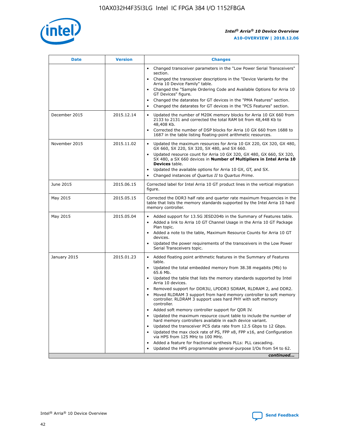

| <b>Date</b>   | <b>Version</b> | <b>Changes</b>                                                                                                                                                                   |
|---------------|----------------|----------------------------------------------------------------------------------------------------------------------------------------------------------------------------------|
|               |                | • Changed transceiver parameters in the "Low Power Serial Transceivers"<br>section.                                                                                              |
|               |                | • Changed the transceiver descriptions in the "Device Variants for the<br>Arria 10 Device Family" table.                                                                         |
|               |                | Changed the "Sample Ordering Code and Available Options for Arria 10<br>GT Devices" figure.                                                                                      |
|               |                | Changed the datarates for GT devices in the "PMA Features" section.                                                                                                              |
|               |                | Changed the datarates for GT devices in the "PCS Features" section.<br>$\bullet$                                                                                                 |
| December 2015 | 2015.12.14     | Updated the number of M20K memory blocks for Arria 10 GX 660 from<br>$\bullet$<br>2133 to 2131 and corrected the total RAM bit from 48,448 Kb to<br>48,408 Kb.                   |
|               |                | Corrected the number of DSP blocks for Arria 10 GX 660 from 1688 to<br>$\bullet$<br>1687 in the table listing floating-point arithmetic resources.                               |
| November 2015 | 2015.11.02     | Updated the maximum resources for Arria 10 GX 220, GX 320, GX 480,<br>$\bullet$<br>GX 660, SX 220, SX 320, SX 480, and SX 660.                                                   |
|               |                | Updated resource count for Arria 10 GX 320, GX 480, GX 660, SX 320,<br>$\bullet$<br>SX 480, a SX 660 devices in Number of Multipliers in Intel Arria 10<br><b>Devices</b> table. |
|               |                | Updated the available options for Arria 10 GX, GT, and SX.<br>$\bullet$                                                                                                          |
|               |                | Changed instances of Quartus II to Quartus Prime.<br>$\bullet$                                                                                                                   |
| June 2015     | 2015.06.15     | Corrected label for Intel Arria 10 GT product lines in the vertical migration<br>figure.                                                                                         |
| May 2015      | 2015.05.15     | Corrected the DDR3 half rate and quarter rate maximum frequencies in the<br>table that lists the memory standards supported by the Intel Arria 10 hard<br>memory controller.     |
| May 2015      | 2015.05.04     | • Added support for 13.5G JESD204b in the Summary of Features table.<br>• Added a link to Arria 10 GT Channel Usage in the Arria 10 GT Package<br>Plan topic.                    |
|               |                | • Added a note to the table, Maximum Resource Counts for Arria 10 GT<br>devices.                                                                                                 |
|               |                | Updated the power requirements of the transceivers in the Low Power<br>Serial Transceivers topic.                                                                                |
| January 2015  | 2015.01.23     | • Added floating point arithmetic features in the Summary of Features<br>table.                                                                                                  |
|               |                | • Updated the total embedded memory from 38.38 megabits (Mb) to<br>65.6 Mb.                                                                                                      |
|               |                | • Updated the table that lists the memory standards supported by Intel<br>Arria 10 devices.                                                                                      |
|               |                | Removed support for DDR3U, LPDDR3 SDRAM, RLDRAM 2, and DDR2.                                                                                                                     |
|               |                | Moved RLDRAM 3 support from hard memory controller to soft memory<br>controller. RLDRAM 3 support uses hard PHY with soft memory<br>controller.                                  |
|               |                | Added soft memory controller support for QDR IV.                                                                                                                                 |
|               |                | Updated the maximum resource count table to include the number of<br>hard memory controllers available in each device variant.                                                   |
|               |                | Updated the transceiver PCS data rate from 12.5 Gbps to 12 Gbps.<br>$\bullet$                                                                                                    |
|               |                | Updated the max clock rate of PS, FPP x8, FPP x16, and Configuration<br>via HPS from 125 MHz to 100 MHz.                                                                         |
|               |                | Added a feature for fractional synthesis PLLs: PLL cascading.                                                                                                                    |
|               |                | Updated the HPS programmable general-purpose I/Os from 54 to 62.                                                                                                                 |
|               |                | continued                                                                                                                                                                        |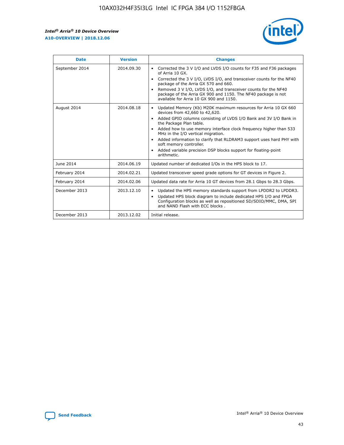r



| <b>Date</b>    | <b>Version</b> | <b>Changes</b>                                                                                                                                                                                                                                                                                                                                                                                                                                                                                                                                      |
|----------------|----------------|-----------------------------------------------------------------------------------------------------------------------------------------------------------------------------------------------------------------------------------------------------------------------------------------------------------------------------------------------------------------------------------------------------------------------------------------------------------------------------------------------------------------------------------------------------|
| September 2014 | 2014.09.30     | Corrected the 3 V I/O and LVDS I/O counts for F35 and F36 packages<br>$\bullet$<br>of Arria 10 GX.<br>Corrected the 3 V I/O, LVDS I/O, and transceiver counts for the NF40<br>$\bullet$<br>package of the Arria GX 570 and 660.<br>Removed 3 V I/O, LVDS I/O, and transceiver counts for the NF40<br>$\bullet$<br>package of the Arria GX 900 and 1150. The NF40 package is not<br>available for Arria 10 GX 900 and 1150.                                                                                                                          |
| August 2014    | 2014.08.18     | Updated Memory (Kb) M20K maximum resources for Arria 10 GX 660<br>devices from 42,660 to 42,620.<br>Added GPIO columns consisting of LVDS I/O Bank and 3V I/O Bank in<br>$\bullet$<br>the Package Plan table.<br>Added how to use memory interface clock frequency higher than 533<br>$\bullet$<br>MHz in the I/O vertical migration.<br>Added information to clarify that RLDRAM3 support uses hard PHY with<br>$\bullet$<br>soft memory controller.<br>Added variable precision DSP blocks support for floating-point<br>$\bullet$<br>arithmetic. |
| June 2014      | 2014.06.19     | Updated number of dedicated I/Os in the HPS block to 17.                                                                                                                                                                                                                                                                                                                                                                                                                                                                                            |
| February 2014  | 2014.02.21     | Updated transceiver speed grade options for GT devices in Figure 2.                                                                                                                                                                                                                                                                                                                                                                                                                                                                                 |
| February 2014  | 2014.02.06     | Updated data rate for Arria 10 GT devices from 28.1 Gbps to 28.3 Gbps.                                                                                                                                                                                                                                                                                                                                                                                                                                                                              |
| December 2013  | 2013.12.10     | Updated the HPS memory standards support from LPDDR2 to LPDDR3.<br>Updated HPS block diagram to include dedicated HPS I/O and FPGA<br>$\bullet$<br>Configuration blocks as well as repositioned SD/SDIO/MMC, DMA, SPI<br>and NAND Flash with ECC blocks.                                                                                                                                                                                                                                                                                            |
| December 2013  | 2013.12.02     | Initial release.                                                                                                                                                                                                                                                                                                                                                                                                                                                                                                                                    |